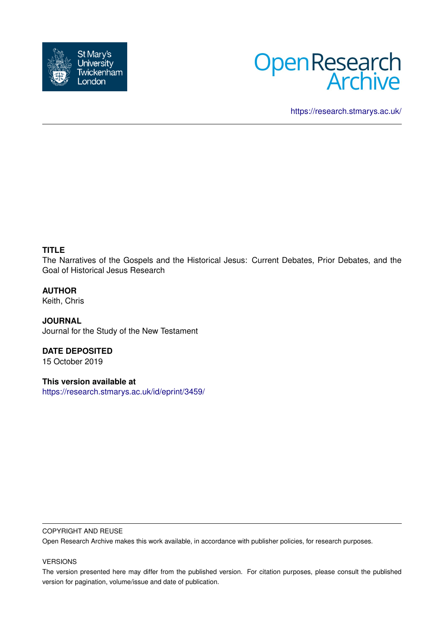



<https://research.stmarys.ac.uk/>

# **TITLE**

The Narratives of the Gospels and the Historical Jesus: Current Debates, Prior Debates, and the Goal of Historical Jesus Research

# **AUTHOR**

Keith, Chris

**JOURNAL** Journal for the Study of the New Testament

**DATE DEPOSITED** 15 October 2019

**This version available at** <https://research.stmarys.ac.uk/id/eprint/3459/>

### COPYRIGHT AND REUSE

Open Research Archive makes this work available, in accordance with publisher policies, for research purposes.

# VERSIONS

The version presented here may differ from the published version. For citation purposes, please consult the published version for pagination, volume/issue and date of publication.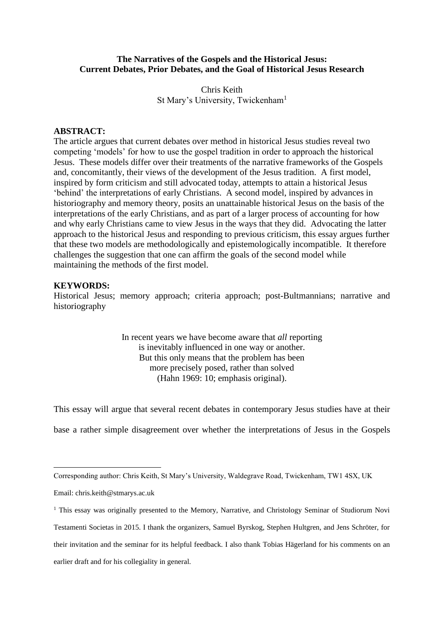# **The Narratives of the Gospels and the Historical Jesus: Current Debates, Prior Debates, and the Goal of Historical Jesus Research**

Chris Keith St Mary's University, Twickenham<sup>1</sup>

## **ABSTRACT:**

The article argues that current debates over method in historical Jesus studies reveal two competing 'models' for how to use the gospel tradition in order to approach the historical Jesus. These models differ over their treatments of the narrative frameworks of the Gospels and, concomitantly, their views of the development of the Jesus tradition. A first model, inspired by form criticism and still advocated today, attempts to attain a historical Jesus 'behind' the interpretations of early Christians. A second model, inspired by advances in historiography and memory theory, posits an unattainable historical Jesus on the basis of the interpretations of the early Christians, and as part of a larger process of accounting for how and why early Christians came to view Jesus in the ways that they did. Advocating the latter approach to the historical Jesus and responding to previous criticism, this essay argues further that these two models are methodologically and epistemologically incompatible. It therefore challenges the suggestion that one can affirm the goals of the second model while maintaining the methods of the first model.

## **KEYWORDS:**

Historical Jesus; memory approach; criteria approach; post-Bultmannians; narrative and historiography

> In recent years we have become aware that *all* reporting is inevitably influenced in one way or another. But this only means that the problem has been more precisely posed, rather than solved (Hahn 1969: 10; emphasis original).

This essay will argue that several recent debates in contemporary Jesus studies have at their

base a rather simple disagreement over whether the interpretations of Jesus in the Gospels

Corresponding author: Chris Keith, St Mary's University, Waldegrave Road, Twickenham, TW1 4SX, UK

Email: chris.keith@stmarys.ac.uk

 $1$  This essay was originally presented to the Memory, Narrative, and Christology Seminar of Studiorum Novi Testamenti Societas in 2015. I thank the organizers, Samuel Byrskog, Stephen Hultgren, and Jens Schröter, for their invitation and the seminar for its helpful feedback. I also thank Tobias Hägerland for his comments on an earlier draft and for his collegiality in general.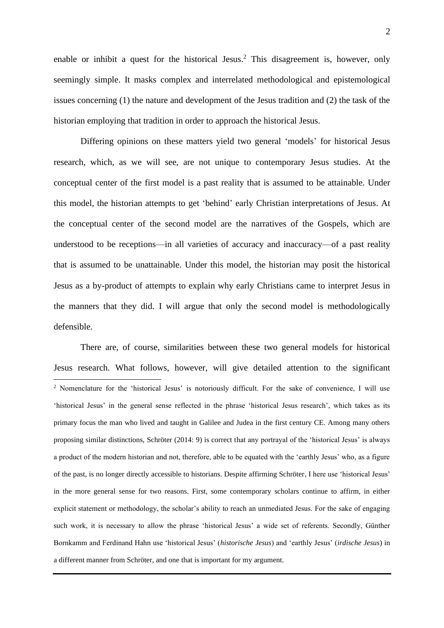enable or inhibit a quest for the historical Jesus.<sup>2</sup> This disagreement is, however, only seemingly simple. It masks complex and interrelated methodological and epistemological issues concerning (1) the nature and development of the Jesus tradition and (2) the task of the historian employing that tradition in order to approach the historical Jesus.

Differing opinions on these matters yield two general 'models' for historical Jesus research, which, as we will see, are not unique to contemporary Jesus studies. At the conceptual center of the first model is a past reality that is assumed to be attainable. Under this model, the historian attempts to get 'behind' early Christian interpretations of Jesus. At the conceptual center of the second model are the narratives of the Gospels, which are understood to be receptions—in all varieties of accuracy and inaccuracy—of a past reality that is assumed to be unattainable. Under this model, the historian may posit the historical Jesus as a by-product of attempts to explain why early Christians came to interpret Jesus in the manners that they did. I will argue that only the second model is methodologically defensible.

There are, of course, similarities between these two general models for historical Jesus research. What follows, however, will give detailed attention to the significant <sup>2</sup> Nomenclature for the 'historical Jesus' is notoriously difficult. For the sake of convenience, I will use 'historical Jesus' in the general sense reflected in the phrase 'historical Jesus research', which takes as its primary focus the man who lived and taught in Galilee and Judea in the first century CE. Among many others proposing similar distinctions, Schröter (2014: 9) is correct that any portrayal of the 'historical Jesus' is always a product of the modern historian and not, therefore, able to be equated with the 'earthly Jesus' who, as a figure of the past, is no longer directly accessible to historians. Despite affirming Schröter, I here use 'historical Jesus' in the more general sense for two reasons. First, some contemporary scholars continue to affirm, in either explicit statement or methodology, the scholar's ability to reach an unmediated Jesus. For the sake of engaging such work, it is necessary to allow the phrase 'historical Jesus' a wide set of referents. Secondly, Günther Bornkamm and Ferdinand Hahn use 'historical Jesus' (*historische Jesus*) and 'earthly Jesus' (*irdische Jesus*) in a different manner from Schröter, and one that is important for my argument.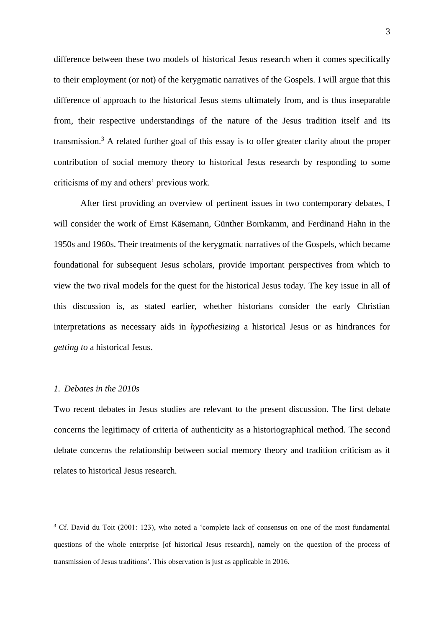difference between these two models of historical Jesus research when it comes specifically to their employment (or not) of the kerygmatic narratives of the Gospels. I will argue that this difference of approach to the historical Jesus stems ultimately from, and is thus inseparable from, their respective understandings of the nature of the Jesus tradition itself and its transmission.<sup>3</sup> A related further goal of this essay is to offer greater clarity about the proper contribution of social memory theory to historical Jesus research by responding to some criticisms of my and others' previous work.

After first providing an overview of pertinent issues in two contemporary debates, I will consider the work of Ernst Käsemann, Günther Bornkamm, and Ferdinand Hahn in the 1950s and 1960s. Their treatments of the kerygmatic narratives of the Gospels, which became foundational for subsequent Jesus scholars, provide important perspectives from which to view the two rival models for the quest for the historical Jesus today. The key issue in all of this discussion is, as stated earlier, whether historians consider the early Christian interpretations as necessary aids in *hypothesizing* a historical Jesus or as hindrances for *getting to* a historical Jesus.

# *1. Debates in the 2010s*

Two recent debates in Jesus studies are relevant to the present discussion. The first debate concerns the legitimacy of criteria of authenticity as a historiographical method. The second debate concerns the relationship between social memory theory and tradition criticism as it relates to historical Jesus research.

<sup>&</sup>lt;sup>3</sup> Cf. David du Toit (2001: 123), who noted a 'complete lack of consensus on one of the most fundamental questions of the whole enterprise [of historical Jesus research], namely on the question of the process of transmission of Jesus traditions'. This observation is just as applicable in 2016.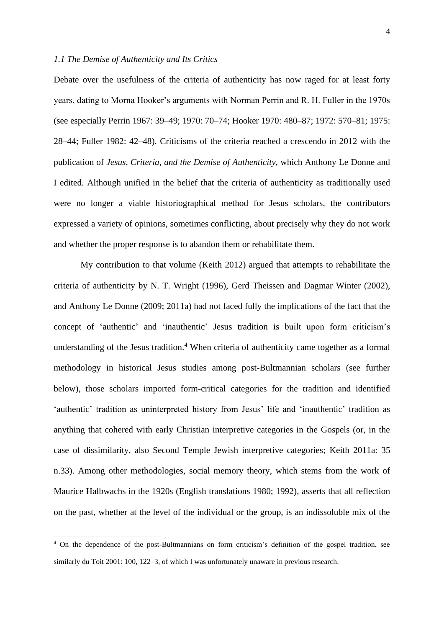### *1.1 The Demise of Authenticity and Its Critics*

Debate over the usefulness of the criteria of authenticity has now raged for at least forty years, dating to Morna Hooker's arguments with Norman Perrin and R. H. Fuller in the 1970s (see especially Perrin 1967: 39–49; 1970: 70–74; Hooker 1970: 480–87; 1972: 570–81; 1975: 28–44; Fuller 1982: 42–48). Criticisms of the criteria reached a crescendo in 2012 with the publication of *Jesus, Criteria, and the Demise of Authenticity,* which Anthony Le Donne and I edited. Although unified in the belief that the criteria of authenticity as traditionally used were no longer a viable historiographical method for Jesus scholars, the contributors expressed a variety of opinions, sometimes conflicting, about precisely why they do not work and whether the proper response is to abandon them or rehabilitate them.

My contribution to that volume (Keith 2012) argued that attempts to rehabilitate the criteria of authenticity by N. T. Wright (1996), Gerd Theissen and Dagmar Winter (2002), and Anthony Le Donne (2009; 2011a) had not faced fully the implications of the fact that the concept of 'authentic' and 'inauthentic' Jesus tradition is built upon form criticism's understanding of the Jesus tradition.<sup>4</sup> When criteria of authenticity came together as a formal methodology in historical Jesus studies among post-Bultmannian scholars (see further below), those scholars imported form-critical categories for the tradition and identified 'authentic' tradition as uninterpreted history from Jesus' life and 'inauthentic' tradition as anything that cohered with early Christian interpretive categories in the Gospels (or, in the case of dissimilarity, also Second Temple Jewish interpretive categories; Keith 2011a: 35 n.33). Among other methodologies, social memory theory, which stems from the work of Maurice Halbwachs in the 1920s (English translations 1980; 1992), asserts that all reflection on the past, whether at the level of the individual or the group, is an indissoluble mix of the

<sup>4</sup> On the dependence of the post-Bultmannians on form criticism's definition of the gospel tradition, see similarly du Toit 2001: 100, 122–3, of which I was unfortunately unaware in previous research.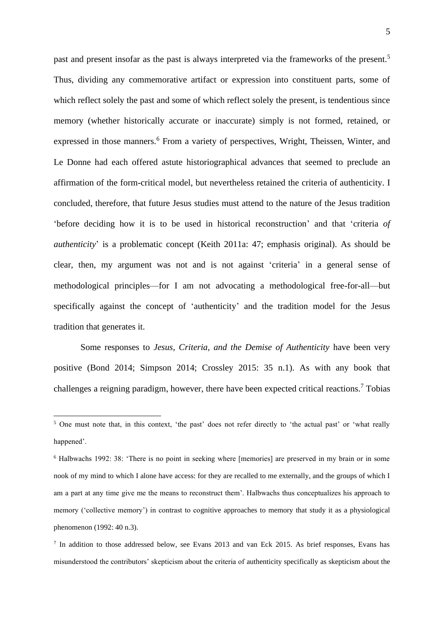past and present insofar as the past is always interpreted via the frameworks of the present.<sup>5</sup> Thus, dividing any commemorative artifact or expression into constituent parts, some of which reflect solely the past and some of which reflect solely the present, is tendentious since memory (whether historically accurate or inaccurate) simply is not formed, retained, or expressed in those manners.<sup>6</sup> From a variety of perspectives, Wright, Theissen, Winter, and Le Donne had each offered astute historiographical advances that seemed to preclude an affirmation of the form-critical model, but nevertheless retained the criteria of authenticity. I concluded, therefore, that future Jesus studies must attend to the nature of the Jesus tradition 'before deciding how it is to be used in historical reconstruction' and that 'criteria *of authenticity*' is a problematic concept (Keith 2011a: 47; emphasis original). As should be clear, then, my argument was not and is not against 'criteria' in a general sense of methodological principles—for I am not advocating a methodological free-for-all—but specifically against the concept of 'authenticity' and the tradition model for the Jesus tradition that generates it.

Some responses to *Jesus, Criteria, and the Demise of Authenticity* have been very positive (Bond 2014; Simpson 2014; Crossley 2015: 35 n.1). As with any book that challenges a reigning paradigm, however, there have been expected critical reactions.<sup>7</sup> Tobias

<sup>&</sup>lt;sup>5</sup> One must note that, in this context, 'the past' does not refer directly to 'the actual past' or 'what really happened'.

<sup>6</sup> Halbwachs 1992: 38: 'There is no point in seeking where [memories] are preserved in my brain or in some nook of my mind to which I alone have access: for they are recalled to me externally, and the groups of which I am a part at any time give me the means to reconstruct them'. Halbwachs thus conceptualizes his approach to memory ('collective memory') in contrast to cognitive approaches to memory that study it as a physiological phenomenon (1992: 40 n.3).

<sup>7</sup> In addition to those addressed below, see Evans 2013 and van Eck 2015. As brief responses, Evans has misunderstood the contributors' skepticism about the criteria of authenticity specifically as skepticism about the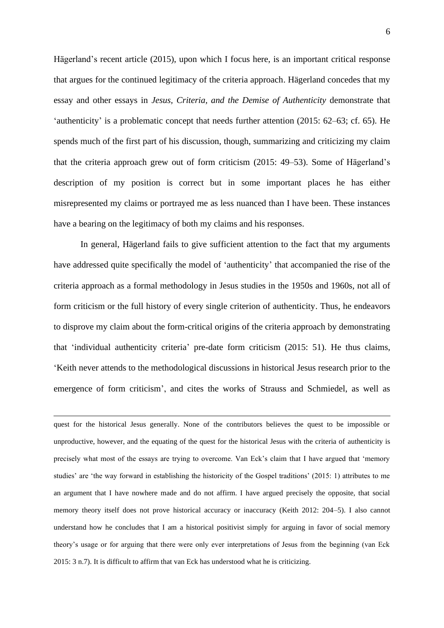Hägerland's recent article (2015), upon which I focus here, is an important critical response that argues for the continued legitimacy of the criteria approach. Hägerland concedes that my essay and other essays in *Jesus, Criteria, and the Demise of Authenticity* demonstrate that 'authenticity' is a problematic concept that needs further attention (2015: 62–63; cf. 65). He spends much of the first part of his discussion, though, summarizing and criticizing my claim that the criteria approach grew out of form criticism (2015: 49–53). Some of Hägerland's description of my position is correct but in some important places he has either misrepresented my claims or portrayed me as less nuanced than I have been. These instances have a bearing on the legitimacy of both my claims and his responses.

In general, Hägerland fails to give sufficient attention to the fact that my arguments have addressed quite specifically the model of 'authenticity' that accompanied the rise of the criteria approach as a formal methodology in Jesus studies in the 1950s and 1960s, not all of form criticism or the full history of every single criterion of authenticity. Thus, he endeavors to disprove my claim about the form-critical origins of the criteria approach by demonstrating that 'individual authenticity criteria' pre-date form criticism (2015: 51). He thus claims, 'Keith never attends to the methodological discussions in historical Jesus research prior to the emergence of form criticism', and cites the works of Strauss and Schmiedel, as well as

quest for the historical Jesus generally. None of the contributors believes the quest to be impossible or unproductive, however, and the equating of the quest for the historical Jesus with the criteria of authenticity is precisely what most of the essays are trying to overcome. Van Eck's claim that I have argued that 'memory studies' are 'the way forward in establishing the historicity of the Gospel traditions' (2015: 1) attributes to me an argument that I have nowhere made and do not affirm. I have argued precisely the opposite, that social memory theory itself does not prove historical accuracy or inaccuracy (Keith 2012: 204–5). I also cannot understand how he concludes that I am a historical positivist simply for arguing in favor of social memory theory's usage or for arguing that there were only ever interpretations of Jesus from the beginning (van Eck 2015: 3 n.7). It is difficult to affirm that van Eck has understood what he is criticizing.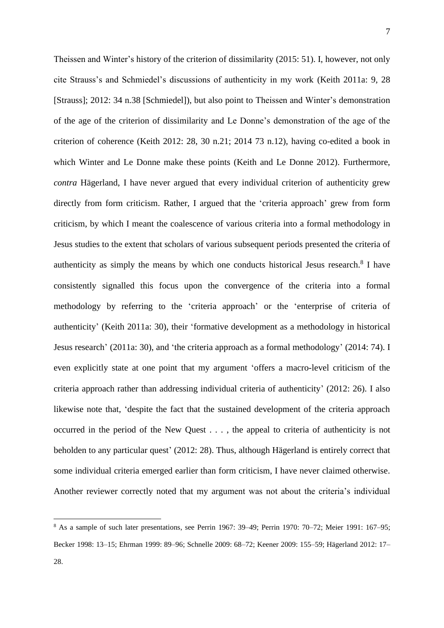Theissen and Winter's history of the criterion of dissimilarity (2015: 51). I, however, not only cite Strauss's and Schmiedel's discussions of authenticity in my work (Keith 2011a: 9, 28 [Strauss]; 2012: 34 n.38 [Schmiedel]), but also point to Theissen and Winter's demonstration of the age of the criterion of dissimilarity and Le Donne's demonstration of the age of the criterion of coherence (Keith 2012: 28, 30 n.21; 2014 73 n.12), having co-edited a book in which Winter and Le Donne make these points (Keith and Le Donne 2012). Furthermore, *contra* Hägerland, I have never argued that every individual criterion of authenticity grew directly from form criticism. Rather, I argued that the 'criteria approach' grew from form criticism, by which I meant the coalescence of various criteria into a formal methodology in Jesus studies to the extent that scholars of various subsequent periods presented the criteria of authenticity as simply the means by which one conducts historical Jesus research. 8 I have consistently signalled this focus upon the convergence of the criteria into a formal methodology by referring to the 'criteria approach' or the 'enterprise of criteria of authenticity' (Keith 2011a: 30), their 'formative development as a methodology in historical Jesus research' (2011a: 30), and 'the criteria approach as a formal methodology' (2014: 74). I even explicitly state at one point that my argument 'offers a macro-level criticism of the criteria approach rather than addressing individual criteria of authenticity' (2012: 26). I also likewise note that, 'despite the fact that the sustained development of the criteria approach occurred in the period of the New Quest . . . , the appeal to criteria of authenticity is not beholden to any particular quest' (2012: 28). Thus, although Hägerland is entirely correct that some individual criteria emerged earlier than form criticism, I have never claimed otherwise. Another reviewer correctly noted that my argument was not about the criteria's individual

<sup>8</sup> As a sample of such later presentations, see Perrin 1967: 39–49; Perrin 1970: 70–72; Meier 1991: 167–95; Becker 1998: 13–15; Ehrman 1999: 89–96; Schnelle 2009: 68–72; Keener 2009: 155–59; Hägerland 2012: 17–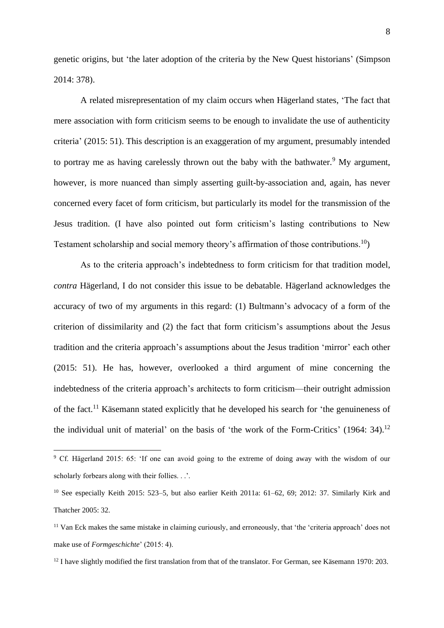genetic origins, but 'the later adoption of the criteria by the New Quest historians' (Simpson 2014: 378).

A related misrepresentation of my claim occurs when Hägerland states, 'The fact that mere association with form criticism seems to be enough to invalidate the use of authenticity criteria' (2015: 51). This description is an exaggeration of my argument, presumably intended to portray me as having carelessly thrown out the baby with the bathwater.<sup>9</sup> My argument, however, is more nuanced than simply asserting guilt-by-association and, again, has never concerned every facet of form criticism, but particularly its model for the transmission of the Jesus tradition. (I have also pointed out form criticism's lasting contributions to New Testament scholarship and social memory theory's affirmation of those contributions.<sup>10</sup>)

As to the criteria approach's indebtedness to form criticism for that tradition model, *contra* Hägerland, I do not consider this issue to be debatable. Hägerland acknowledges the accuracy of two of my arguments in this regard: (1) Bultmann's advocacy of a form of the criterion of dissimilarity and (2) the fact that form criticism's assumptions about the Jesus tradition and the criteria approach's assumptions about the Jesus tradition 'mirror' each other (2015: 51). He has, however, overlooked a third argument of mine concerning the indebtedness of the criteria approach's architects to form criticism—their outright admission of the fact.<sup>11</sup> Käsemann stated explicitly that he developed his search for 'the genuineness of the individual unit of material' on the basis of 'the work of the Form-Critics' (1964: 34).<sup>12</sup>

<sup>9</sup> Cf. Hägerland 2015: 65: 'If one can avoid going to the extreme of doing away with the wisdom of our scholarly forbears along with their follies. . .'.

<sup>10</sup> See especially Keith 2015: 523–5, but also earlier Keith 2011a: 61–62, 69; 2012: 37. Similarly Kirk and Thatcher 2005: 32.

<sup>11</sup> Van Eck makes the same mistake in claiming curiously, and erroneously, that 'the 'criteria approach' does not make use of *Formgeschichte*' (2015: 4).

 $12$  I have slightly modified the first translation from that of the translator. For German, see Käsemann 1970: 203.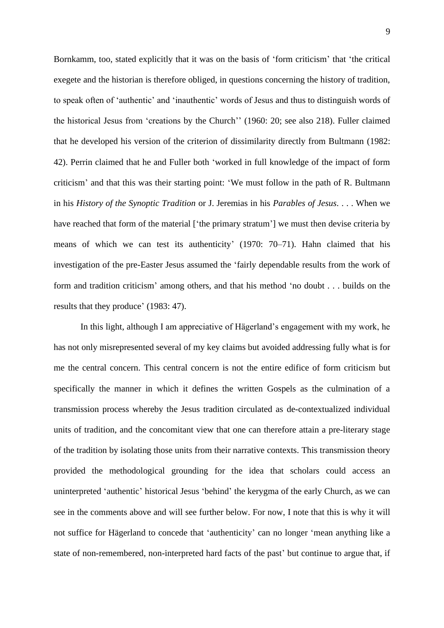Bornkamm, too, stated explicitly that it was on the basis of 'form criticism' that 'the critical exegete and the historian is therefore obliged, in questions concerning the history of tradition, to speak often of 'authentic' and 'inauthentic' words of Jesus and thus to distinguish words of the historical Jesus from 'creations by the Church'' (1960: 20; see also 218). Fuller claimed that he developed his version of the criterion of dissimilarity directly from Bultmann (1982: 42). Perrin claimed that he and Fuller both 'worked in full knowledge of the impact of form criticism' and that this was their starting point: 'We must follow in the path of R. Bultmann in his *History of the Synoptic Tradition* or J. Jeremias in his *Parables of Jesus*. . . . When we have reached that form of the material ['the primary stratum'] we must then devise criteria by means of which we can test its authenticity' (1970: 70–71). Hahn claimed that his investigation of the pre-Easter Jesus assumed the 'fairly dependable results from the work of form and tradition criticism' among others, and that his method 'no doubt . . . builds on the results that they produce' (1983: 47).

In this light, although I am appreciative of Hägerland's engagement with my work, he has not only misrepresented several of my key claims but avoided addressing fully what is for me the central concern. This central concern is not the entire edifice of form criticism but specifically the manner in which it defines the written Gospels as the culmination of a transmission process whereby the Jesus tradition circulated as de-contextualized individual units of tradition, and the concomitant view that one can therefore attain a pre-literary stage of the tradition by isolating those units from their narrative contexts. This transmission theory provided the methodological grounding for the idea that scholars could access an uninterpreted 'authentic' historical Jesus 'behind' the kerygma of the early Church, as we can see in the comments above and will see further below. For now, I note that this is why it will not suffice for Hägerland to concede that 'authenticity' can no longer 'mean anything like a state of non-remembered, non-interpreted hard facts of the past' but continue to argue that, if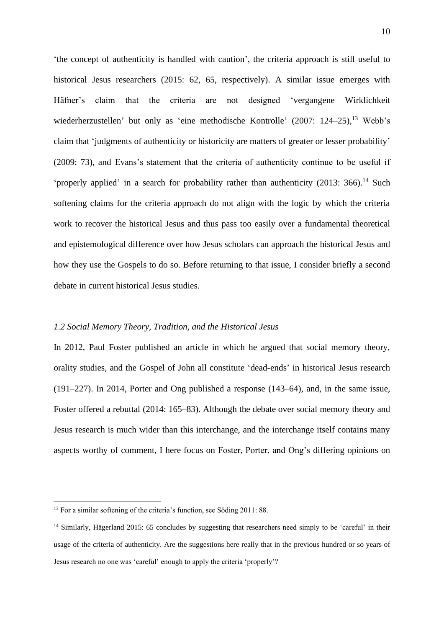'the concept of authenticity is handled with caution', the criteria approach is still useful to historical Jesus researchers (2015: 62, 65, respectively). A similar issue emerges with Häfner's claim that the criteria are not designed 'vergangene Wirklichkeit wiederherzustellen' but only as 'eine methodische Kontrolle'  $(2007: 124-25)$ ,<sup>13</sup> Webb's claim that 'judgments of authenticity or historicity are matters of greater or lesser probability' (2009: 73), and Evans's statement that the criteria of authenticity continue to be useful if 'properly applied' in a search for probability rather than authenticity  $(2013: 366)$ .<sup>14</sup> Such softening claims for the criteria approach do not align with the logic by which the criteria work to recover the historical Jesus and thus pass too easily over a fundamental theoretical and epistemological difference over how Jesus scholars can approach the historical Jesus and how they use the Gospels to do so. Before returning to that issue, I consider briefly a second debate in current historical Jesus studies.

# *1.2 Social Memory Theory, Tradition, and the Historical Jesus*

In 2012, Paul Foster published an article in which he argued that social memory theory, orality studies, and the Gospel of John all constitute 'dead-ends' in historical Jesus research (191–227). In 2014, Porter and Ong published a response (143–64), and, in the same issue, Foster offered a rebuttal (2014: 165–83). Although the debate over social memory theory and Jesus research is much wider than this interchange, and the interchange itself contains many aspects worthy of comment, I here focus on Foster, Porter, and Ong's differing opinions on

<sup>&</sup>lt;sup>13</sup> For a similar softening of the criteria's function, see Söding 2011: 88.

<sup>&</sup>lt;sup>14</sup> Similarly, Hägerland 2015: 65 concludes by suggesting that researchers need simply to be 'careful' in their usage of the criteria of authenticity. Are the suggestions here really that in the previous hundred or so years of Jesus research no one was 'careful' enough to apply the criteria 'properly'?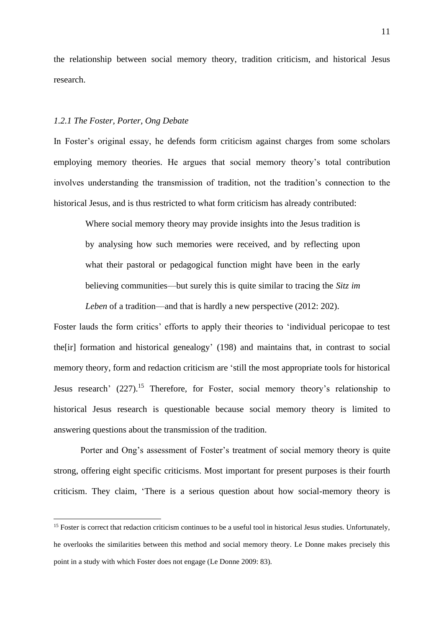the relationship between social memory theory, tradition criticism, and historical Jesus research.

### *1.2.1 The Foster, Porter, Ong Debate*

In Foster's original essay, he defends form criticism against charges from some scholars employing memory theories. He argues that social memory theory's total contribution involves understanding the transmission of tradition, not the tradition's connection to the historical Jesus, and is thus restricted to what form criticism has already contributed:

Where social memory theory may provide insights into the Jesus tradition is by analysing how such memories were received, and by reflecting upon what their pastoral or pedagogical function might have been in the early believing communities—but surely this is quite similar to tracing the *Sitz im* 

*Leben* of a tradition—and that is hardly a new perspective (2012: 202).

Foster lauds the form critics' efforts to apply their theories to 'individual pericopae to test the[ir] formation and historical genealogy' (198) and maintains that, in contrast to social memory theory, form and redaction criticism are 'still the most appropriate tools for historical Jesus research' (227).<sup>15</sup> Therefore, for Foster, social memory theory's relationship to historical Jesus research is questionable because social memory theory is limited to answering questions about the transmission of the tradition.

Porter and Ong's assessment of Foster's treatment of social memory theory is quite strong, offering eight specific criticisms. Most important for present purposes is their fourth criticism. They claim, 'There is a serious question about how social-memory theory is

<sup>&</sup>lt;sup>15</sup> Foster is correct that redaction criticism continues to be a useful tool in historical Jesus studies. Unfortunately, he overlooks the similarities between this method and social memory theory. Le Donne makes precisely this point in a study with which Foster does not engage (Le Donne 2009: 83).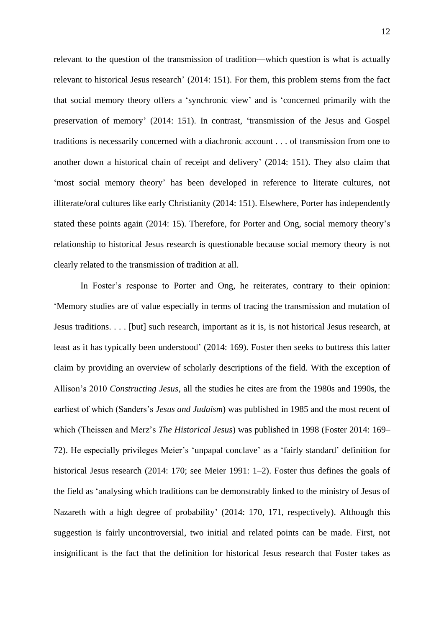relevant to the question of the transmission of tradition—which question is what is actually relevant to historical Jesus research' (2014: 151). For them, this problem stems from the fact that social memory theory offers a 'synchronic view' and is 'concerned primarily with the preservation of memory' (2014: 151). In contrast, 'transmission of the Jesus and Gospel traditions is necessarily concerned with a diachronic account . . . of transmission from one to another down a historical chain of receipt and delivery' (2014: 151). They also claim that 'most social memory theory' has been developed in reference to literate cultures, not illiterate/oral cultures like early Christianity (2014: 151). Elsewhere, Porter has independently stated these points again (2014: 15). Therefore, for Porter and Ong, social memory theory's relationship to historical Jesus research is questionable because social memory theory is not clearly related to the transmission of tradition at all.

In Foster's response to Porter and Ong, he reiterates, contrary to their opinion: 'Memory studies are of value especially in terms of tracing the transmission and mutation of Jesus traditions. . . . [but] such research, important as it is, is not historical Jesus research, at least as it has typically been understood' (2014: 169). Foster then seeks to buttress this latter claim by providing an overview of scholarly descriptions of the field. With the exception of Allison's 2010 *Constructing Jesus*, all the studies he cites are from the 1980s and 1990s, the earliest of which (Sanders's *Jesus and Judaism*) was published in 1985 and the most recent of which (Theissen and Merz's *The Historical Jesus*) was published in 1998 (Foster 2014: 169– 72). He especially privileges Meier's 'unpapal conclave' as a 'fairly standard' definition for historical Jesus research (2014: 170; see Meier 1991: 1–2). Foster thus defines the goals of the field as 'analysing which traditions can be demonstrably linked to the ministry of Jesus of Nazareth with a high degree of probability' (2014: 170, 171, respectively). Although this suggestion is fairly uncontroversial, two initial and related points can be made. First, not insignificant is the fact that the definition for historical Jesus research that Foster takes as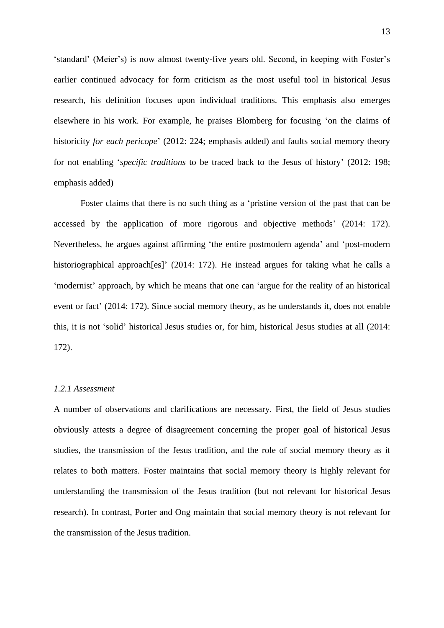'standard' (Meier's) is now almost twenty-five years old. Second, in keeping with Foster's earlier continued advocacy for form criticism as the most useful tool in historical Jesus research, his definition focuses upon individual traditions. This emphasis also emerges elsewhere in his work. For example, he praises Blomberg for focusing 'on the claims of historicity *for each pericope*' (2012: 224; emphasis added) and faults social memory theory for not enabling '*specific traditions* to be traced back to the Jesus of history' (2012: 198; emphasis added)

Foster claims that there is no such thing as a 'pristine version of the past that can be accessed by the application of more rigorous and objective methods' (2014: 172). Nevertheless, he argues against affirming 'the entire postmodern agenda' and 'post-modern historiographical approach[es]' (2014: 172). He instead argues for taking what he calls a 'modernist' approach, by which he means that one can 'argue for the reality of an historical event or fact' (2014: 172). Since social memory theory, as he understands it, does not enable this, it is not 'solid' historical Jesus studies or, for him, historical Jesus studies at all (2014: 172).

# *1.2.1 Assessment*

A number of observations and clarifications are necessary. First, the field of Jesus studies obviously attests a degree of disagreement concerning the proper goal of historical Jesus studies, the transmission of the Jesus tradition, and the role of social memory theory as it relates to both matters. Foster maintains that social memory theory is highly relevant for understanding the transmission of the Jesus tradition (but not relevant for historical Jesus research). In contrast, Porter and Ong maintain that social memory theory is not relevant for the transmission of the Jesus tradition.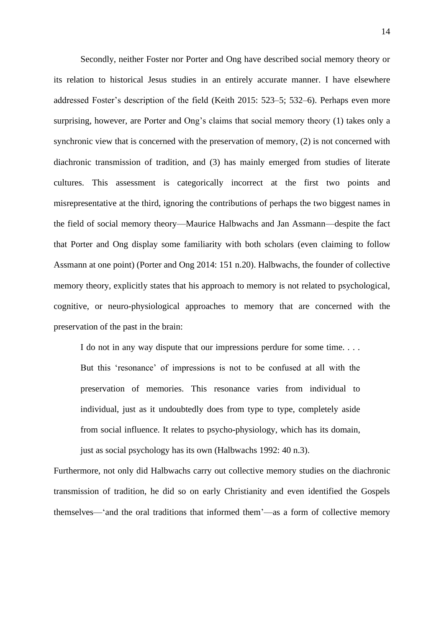Secondly, neither Foster nor Porter and Ong have described social memory theory or its relation to historical Jesus studies in an entirely accurate manner. I have elsewhere addressed Foster's description of the field (Keith 2015: 523–5; 532–6). Perhaps even more surprising, however, are Porter and Ong's claims that social memory theory (1) takes only a synchronic view that is concerned with the preservation of memory, (2) is not concerned with diachronic transmission of tradition, and (3) has mainly emerged from studies of literate cultures. This assessment is categorically incorrect at the first two points and misrepresentative at the third, ignoring the contributions of perhaps the two biggest names in the field of social memory theory—Maurice Halbwachs and Jan Assmann—despite the fact that Porter and Ong display some familiarity with both scholars (even claiming to follow Assmann at one point) (Porter and Ong 2014: 151 n.20). Halbwachs, the founder of collective memory theory, explicitly states that his approach to memory is not related to psychological, cognitive, or neuro-physiological approaches to memory that are concerned with the preservation of the past in the brain:

I do not in any way dispute that our impressions perdure for some time. . . . But this 'resonance' of impressions is not to be confused at all with the preservation of memories. This resonance varies from individual to individual, just as it undoubtedly does from type to type, completely aside from social influence. It relates to psycho-physiology, which has its domain, just as social psychology has its own (Halbwachs 1992: 40 n.3).

Furthermore, not only did Halbwachs carry out collective memory studies on the diachronic transmission of tradition, he did so on early Christianity and even identified the Gospels themselves—'and the oral traditions that informed them'—as a form of collective memory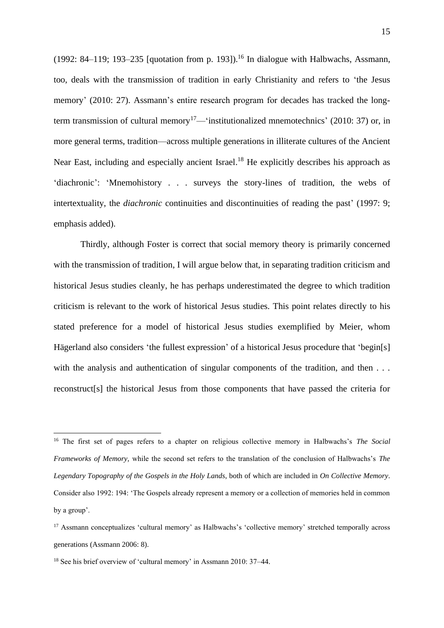(1992: 84–119; 193–235 [quotation from p. 193]).<sup>16</sup> In dialogue with Halbwachs, Assmann, too, deals with the transmission of tradition in early Christianity and refers to 'the Jesus memory' (2010: 27). Assmann's entire research program for decades has tracked the longterm transmission of cultural memory<sup>17</sup>—'institutionalized mnemotechnics' (2010: 37) or, in more general terms, tradition—across multiple generations in illiterate cultures of the Ancient Near East, including and especially ancient Israel.<sup>18</sup> He explicitly describes his approach as 'diachronic': 'Mnemohistory . . . surveys the story-lines of tradition, the webs of intertextuality, the *diachronic* continuities and discontinuities of reading the past' (1997: 9; emphasis added).

Thirdly, although Foster is correct that social memory theory is primarily concerned with the transmission of tradition, I will argue below that, in separating tradition criticism and historical Jesus studies cleanly, he has perhaps underestimated the degree to which tradition criticism is relevant to the work of historical Jesus studies. This point relates directly to his stated preference for a model of historical Jesus studies exemplified by Meier, whom Hägerland also considers 'the fullest expression' of a historical Jesus procedure that 'begin[s] with the analysis and authentication of singular components of the tradition, and then . . . reconstruct[s] the historical Jesus from those components that have passed the criteria for

<sup>16</sup> The first set of pages refers to a chapter on religious collective memory in Halbwachs's *The Social Frameworks of Memory,* while the second set refers to the translation of the conclusion of Halbwachs's *The Legendary Topography of the Gospels in the Holy Lands*, both of which are included in *On Collective Memory*. Consider also 1992: 194: 'The Gospels already represent a memory or a collection of memories held in common by a group'.

<sup>&</sup>lt;sup>17</sup> Assmann conceptualizes 'cultural memory' as Halbwachs's 'collective memory' stretched temporally across generations (Assmann 2006: 8).

<sup>18</sup> See his brief overview of 'cultural memory' in Assmann 2010: 37–44.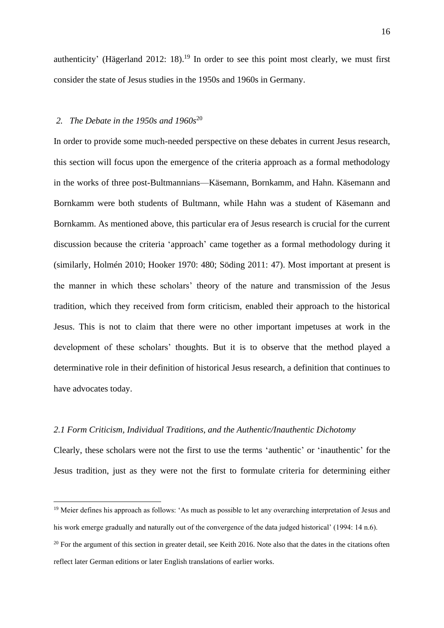authenticity' (Hägerland 2012: 18).<sup>19</sup> In order to see this point most clearly, we must first consider the state of Jesus studies in the 1950s and 1960s in Germany.

# *2. The Debate in the 1950s and 1960s*<sup>20</sup>

In order to provide some much-needed perspective on these debates in current Jesus research, this section will focus upon the emergence of the criteria approach as a formal methodology in the works of three post-Bultmannians—Käsemann, Bornkamm, and Hahn. Käsemann and Bornkamm were both students of Bultmann, while Hahn was a student of Käsemann and Bornkamm. As mentioned above, this particular era of Jesus research is crucial for the current discussion because the criteria 'approach' came together as a formal methodology during it (similarly, Holmén 2010; Hooker 1970: 480; Söding 2011: 47). Most important at present is the manner in which these scholars' theory of the nature and transmission of the Jesus tradition, which they received from form criticism, enabled their approach to the historical Jesus. This is not to claim that there were no other important impetuses at work in the development of these scholars' thoughts. But it is to observe that the method played a determinative role in their definition of historical Jesus research, a definition that continues to have advocates today.

# *2.1 Form Criticism, Individual Traditions, and the Authentic/Inauthentic Dichotomy*

Clearly, these scholars were not the first to use the terms 'authentic' or 'inauthentic' for the Jesus tradition, just as they were not the first to formulate criteria for determining either

<sup>&</sup>lt;sup>19</sup> Meier defines his approach as follows: 'As much as possible to let any overarching interpretation of Jesus and his work emerge gradually and naturally out of the convergence of the data judged historical' (1994: 14 n.6).  $^{20}$  For the argument of this section in greater detail, see Keith 2016. Note also that the dates in the citations often reflect later German editions or later English translations of earlier works.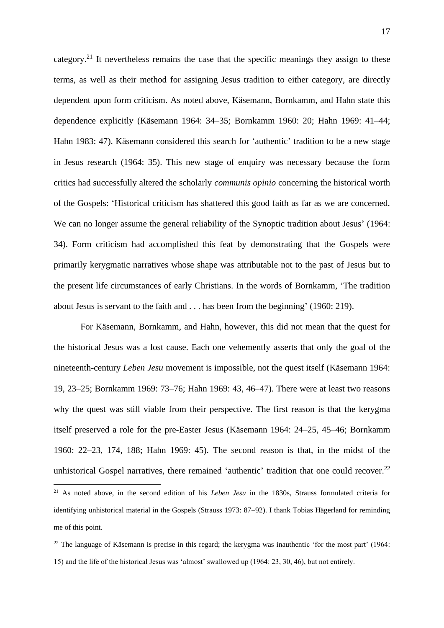category.<sup>21</sup> It nevertheless remains the case that the specific meanings they assign to these terms, as well as their method for assigning Jesus tradition to either category, are directly dependent upon form criticism. As noted above, Käsemann, Bornkamm, and Hahn state this dependence explicitly (Käsemann 1964: 34–35; Bornkamm 1960: 20; Hahn 1969: 41–44; Hahn 1983: 47). Käsemann considered this search for 'authentic' tradition to be a new stage in Jesus research (1964: 35). This new stage of enquiry was necessary because the form critics had successfully altered the scholarly *communis opinio* concerning the historical worth of the Gospels: 'Historical criticism has shattered this good faith as far as we are concerned. We can no longer assume the general reliability of the Synoptic tradition about Jesus' (1964: 34). Form criticism had accomplished this feat by demonstrating that the Gospels were primarily kerygmatic narratives whose shape was attributable not to the past of Jesus but to the present life circumstances of early Christians. In the words of Bornkamm, 'The tradition about Jesus is servant to the faith and . . . has been from the beginning' (1960: 219).

For Käsemann, Bornkamm, and Hahn, however, this did not mean that the quest for the historical Jesus was a lost cause. Each one vehemently asserts that only the goal of the nineteenth-century *Leben Jesu* movement is impossible, not the quest itself (Käsemann 1964: 19, 23–25; Bornkamm 1969: 73–76; Hahn 1969: 43, 46–47). There were at least two reasons why the quest was still viable from their perspective. The first reason is that the kerygma itself preserved a role for the pre-Easter Jesus (Käsemann 1964: 24–25, 45–46; Bornkamm 1960: 22–23, 174, 188; Hahn 1969: 45). The second reason is that, in the midst of the unhistorical Gospel narratives, there remained 'authentic' tradition that one could recover.<sup>22</sup>

<sup>21</sup> As noted above, in the second edition of his *Leben Jesu* in the 1830s, Strauss formulated criteria for identifying unhistorical material in the Gospels (Strauss 1973: 87–92). I thank Tobias Hägerland for reminding me of this point.

<sup>&</sup>lt;sup>22</sup> The language of Käsemann is precise in this regard; the kerygma was inauthentic 'for the most part' (1964; 15) and the life of the historical Jesus was 'almost' swallowed up (1964: 23, 30, 46), but not entirely.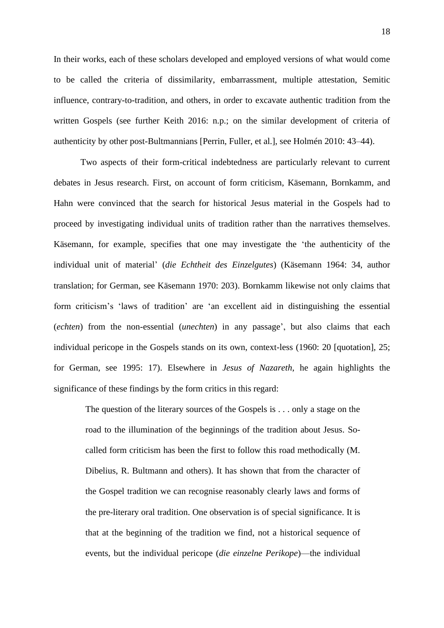In their works, each of these scholars developed and employed versions of what would come to be called the criteria of dissimilarity, embarrassment, multiple attestation, Semitic influence, contrary-to-tradition, and others, in order to excavate authentic tradition from the written Gospels (see further Keith 2016: n.p.; on the similar development of criteria of authenticity by other post-Bultmannians [Perrin, Fuller, et al.], see Holmén 2010: 43–44).

Two aspects of their form-critical indebtedness are particularly relevant to current debates in Jesus research. First, on account of form criticism, Käsemann, Bornkamm, and Hahn were convinced that the search for historical Jesus material in the Gospels had to proceed by investigating individual units of tradition rather than the narratives themselves. Käsemann, for example, specifies that one may investigate the 'the authenticity of the individual unit of material' (*die Echtheit des Einzelgutes*) (Käsemann 1964: 34, author translation; for German, see Käsemann 1970: 203). Bornkamm likewise not only claims that form criticism's 'laws of tradition' are 'an excellent aid in distinguishing the essential (*echten*) from the non-essential (*unechten*) in any passage', but also claims that each individual pericope in the Gospels stands on its own, context-less (1960: 20 [quotation], 25; for German, see 1995: 17). Elsewhere in *Jesus of Nazareth*, he again highlights the significance of these findings by the form critics in this regard:

The question of the literary sources of the Gospels is . . . only a stage on the road to the illumination of the beginnings of the tradition about Jesus. Socalled form criticism has been the first to follow this road methodically (M. Dibelius, R. Bultmann and others). It has shown that from the character of the Gospel tradition we can recognise reasonably clearly laws and forms of the pre-literary oral tradition. One observation is of special significance. It is that at the beginning of the tradition we find, not a historical sequence of events, but the individual pericope (*die einzelne Perikope*)—the individual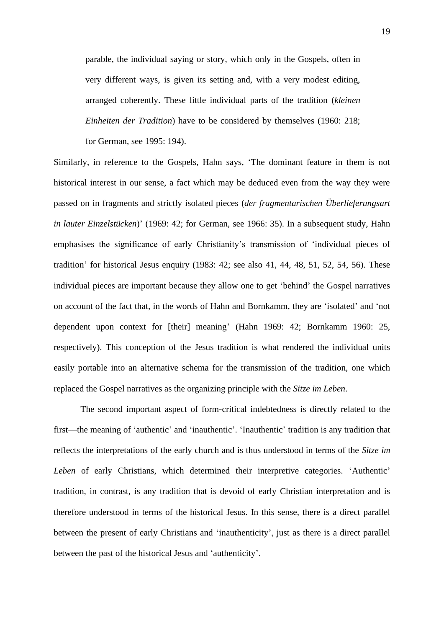parable, the individual saying or story, which only in the Gospels, often in very different ways, is given its setting and, with a very modest editing, arranged coherently. These little individual parts of the tradition (*kleinen Einheiten der Tradition*) have to be considered by themselves (1960: 218;

for German, see 1995: 194).

Similarly, in reference to the Gospels, Hahn says, 'The dominant feature in them is not historical interest in our sense, a fact which may be deduced even from the way they were passed on in fragments and strictly isolated pieces (*der fragmentarischen Überlieferungsart in lauter Einzelstücken*)' (1969: 42; for German, see 1966: 35). In a subsequent study, Hahn emphasises the significance of early Christianity's transmission of 'individual pieces of tradition' for historical Jesus enquiry (1983: 42; see also 41, 44, 48, 51, 52, 54, 56). These individual pieces are important because they allow one to get 'behind' the Gospel narratives on account of the fact that, in the words of Hahn and Bornkamm, they are 'isolated' and 'not dependent upon context for [their] meaning' (Hahn 1969: 42; Bornkamm 1960: 25, respectively). This conception of the Jesus tradition is what rendered the individual units easily portable into an alternative schema for the transmission of the tradition, one which replaced the Gospel narratives as the organizing principle with the *Sitze im Leben*.

The second important aspect of form-critical indebtedness is directly related to the first—the meaning of 'authentic' and 'inauthentic'. 'Inauthentic' tradition is any tradition that reflects the interpretations of the early church and is thus understood in terms of the *Sitze im Leben* of early Christians, which determined their interpretive categories. 'Authentic' tradition, in contrast, is any tradition that is devoid of early Christian interpretation and is therefore understood in terms of the historical Jesus. In this sense, there is a direct parallel between the present of early Christians and 'inauthenticity', just as there is a direct parallel between the past of the historical Jesus and 'authenticity'.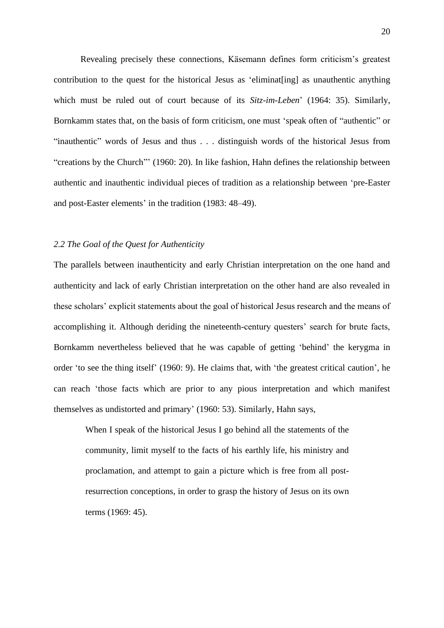Revealing precisely these connections, Käsemann defines form criticism's greatest contribution to the quest for the historical Jesus as 'eliminat [ing] as unauthentic anything which must be ruled out of court because of its *Sitz-im-Leben*' (1964: 35). Similarly, Bornkamm states that, on the basis of form criticism, one must 'speak often of "authentic" or "inauthentic" words of Jesus and thus . . . distinguish words of the historical Jesus from "creations by the Church"' (1960: 20). In like fashion, Hahn defines the relationship between authentic and inauthentic individual pieces of tradition as a relationship between 'pre-Easter and post-Easter elements' in the tradition (1983: 48–49).

# *2.2 The Goal of the Quest for Authenticity*

The parallels between inauthenticity and early Christian interpretation on the one hand and authenticity and lack of early Christian interpretation on the other hand are also revealed in these scholars' explicit statements about the goal of historical Jesus research and the means of accomplishing it. Although deriding the nineteenth-century questers' search for brute facts, Bornkamm nevertheless believed that he was capable of getting 'behind' the kerygma in order 'to see the thing itself' (1960: 9). He claims that, with 'the greatest critical caution', he can reach 'those facts which are prior to any pious interpretation and which manifest themselves as undistorted and primary' (1960: 53). Similarly, Hahn says,

When I speak of the historical Jesus I go behind all the statements of the community, limit myself to the facts of his earthly life, his ministry and proclamation, and attempt to gain a picture which is free from all postresurrection conceptions, in order to grasp the history of Jesus on its own terms (1969: 45).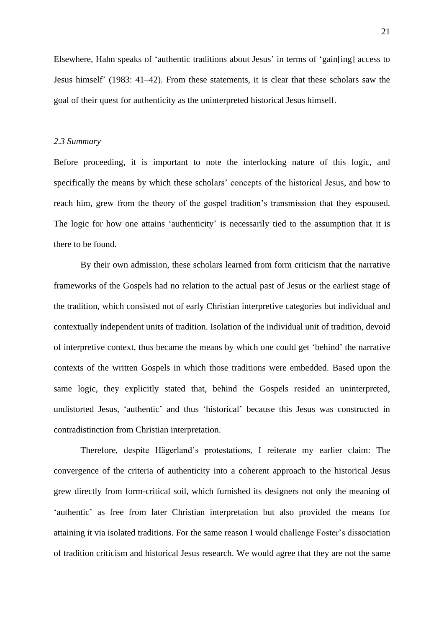Elsewhere, Hahn speaks of 'authentic traditions about Jesus' in terms of 'gain[ing] access to Jesus himself' (1983: 41–42). From these statements, it is clear that these scholars saw the goal of their quest for authenticity as the uninterpreted historical Jesus himself.

### *2.3 Summary*

Before proceeding, it is important to note the interlocking nature of this logic, and specifically the means by which these scholars' concepts of the historical Jesus, and how to reach him, grew from the theory of the gospel tradition's transmission that they espoused. The logic for how one attains 'authenticity' is necessarily tied to the assumption that it is there to be found.

By their own admission, these scholars learned from form criticism that the narrative frameworks of the Gospels had no relation to the actual past of Jesus or the earliest stage of the tradition, which consisted not of early Christian interpretive categories but individual and contextually independent units of tradition. Isolation of the individual unit of tradition, devoid of interpretive context, thus became the means by which one could get 'behind' the narrative contexts of the written Gospels in which those traditions were embedded. Based upon the same logic, they explicitly stated that, behind the Gospels resided an uninterpreted, undistorted Jesus, 'authentic' and thus 'historical' because this Jesus was constructed in contradistinction from Christian interpretation.

Therefore, despite Hägerland's protestations, I reiterate my earlier claim: The convergence of the criteria of authenticity into a coherent approach to the historical Jesus grew directly from form-critical soil, which furnished its designers not only the meaning of 'authentic' as free from later Christian interpretation but also provided the means for attaining it via isolated traditions. For the same reason I would challenge Foster's dissociation of tradition criticism and historical Jesus research. We would agree that they are not the same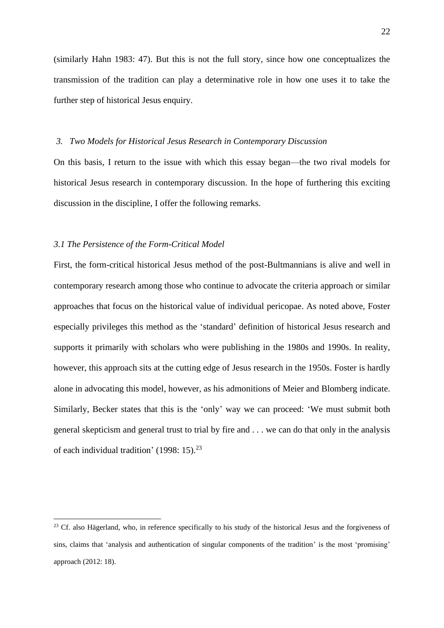(similarly Hahn 1983: 47). But this is not the full story, since how one conceptualizes the transmission of the tradition can play a determinative role in how one uses it to take the further step of historical Jesus enquiry.

#### *3. Two Models for Historical Jesus Research in Contemporary Discussion*

On this basis, I return to the issue with which this essay began—the two rival models for historical Jesus research in contemporary discussion. In the hope of furthering this exciting discussion in the discipline, I offer the following remarks.

### *3.1 The Persistence of the Form-Critical Model*

First, the form-critical historical Jesus method of the post-Bultmannians is alive and well in contemporary research among those who continue to advocate the criteria approach or similar approaches that focus on the historical value of individual pericopae. As noted above, Foster especially privileges this method as the 'standard' definition of historical Jesus research and supports it primarily with scholars who were publishing in the 1980s and 1990s. In reality, however, this approach sits at the cutting edge of Jesus research in the 1950s. Foster is hardly alone in advocating this model, however, as his admonitions of Meier and Blomberg indicate. Similarly, Becker states that this is the 'only' way we can proceed: 'We must submit both general skepticism and general trust to trial by fire and . . . we can do that only in the analysis of each individual tradition' (1998: 15).<sup>23</sup>

<sup>&</sup>lt;sup>23</sup> Cf. also Hägerland, who, in reference specifically to his study of the historical Jesus and the forgiveness of sins, claims that 'analysis and authentication of singular components of the tradition' is the most 'promising' approach (2012: 18).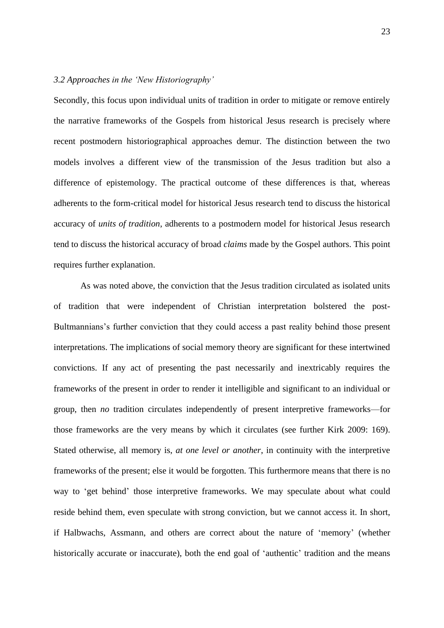# *3.2 Approaches in the 'New Historiography'*

Secondly, this focus upon individual units of tradition in order to mitigate or remove entirely the narrative frameworks of the Gospels from historical Jesus research is precisely where recent postmodern historiographical approaches demur. The distinction between the two models involves a different view of the transmission of the Jesus tradition but also a difference of epistemology. The practical outcome of these differences is that, whereas adherents to the form-critical model for historical Jesus research tend to discuss the historical accuracy of *units of tradition*, adherents to a postmodern model for historical Jesus research tend to discuss the historical accuracy of broad *claims* made by the Gospel authors. This point requires further explanation.

As was noted above, the conviction that the Jesus tradition circulated as isolated units of tradition that were independent of Christian interpretation bolstered the post-Bultmannians's further conviction that they could access a past reality behind those present interpretations. The implications of social memory theory are significant for these intertwined convictions. If any act of presenting the past necessarily and inextricably requires the frameworks of the present in order to render it intelligible and significant to an individual or group, then *no* tradition circulates independently of present interpretive frameworks—for those frameworks are the very means by which it circulates (see further Kirk 2009: 169). Stated otherwise, all memory is, *at one level or another*, in continuity with the interpretive frameworks of the present; else it would be forgotten. This furthermore means that there is no way to 'get behind' those interpretive frameworks. We may speculate about what could reside behind them, even speculate with strong conviction, but we cannot access it. In short, if Halbwachs, Assmann, and others are correct about the nature of 'memory' (whether historically accurate or inaccurate), both the end goal of 'authentic' tradition and the means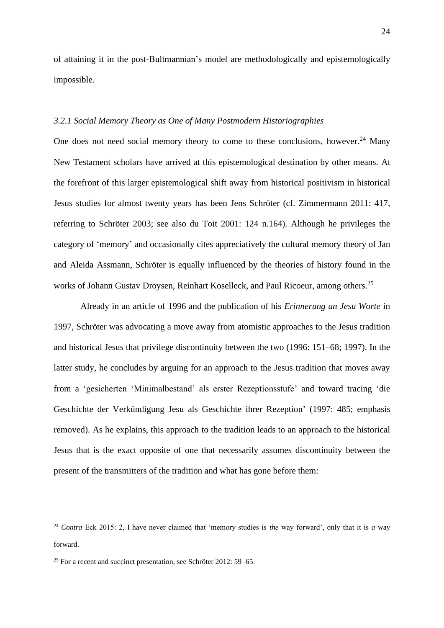of attaining it in the post-Bultmannian's model are methodologically and epistemologically impossible.

# *3.2.1 Social Memory Theory as One of Many Postmodern Historiographies*

One does not need social memory theory to come to these conclusions, however.<sup>24</sup> Many New Testament scholars have arrived at this epistemological destination by other means. At the forefront of this larger epistemological shift away from historical positivism in historical Jesus studies for almost twenty years has been Jens Schröter (cf. Zimmermann 2011: 417, referring to Schröter 2003; see also du Toit 2001: 124 n.164). Although he privileges the category of 'memory' and occasionally cites appreciatively the cultural memory theory of Jan and Aleida Assmann, Schröter is equally influenced by the theories of history found in the works of Johann Gustav Droysen, Reinhart Koselleck, and Paul Ricoeur, among others.<sup>25</sup>

Already in an article of 1996 and the publication of his *Erinnerung an Jesu Worte* in 1997, Schröter was advocating a move away from atomistic approaches to the Jesus tradition and historical Jesus that privilege discontinuity between the two (1996: 151–68; 1997). In the latter study, he concludes by arguing for an approach to the Jesus tradition that moves away from a 'gesicherten 'Minimalbestand' als erster Rezeptionsstufe' and toward tracing 'die Geschichte der Verkündigung Jesu als Geschichte ihrer Rezeption' (1997: 485; emphasis removed). As he explains, this approach to the tradition leads to an approach to the historical Jesus that is the exact opposite of one that necessarily assumes discontinuity between the present of the transmitters of the tradition and what has gone before them:

<sup>24</sup> *Contra* Eck 2015: 2, I have never claimed that 'memory studies is *the* way forward', only that it is *a* way forward.

 $25$  For a recent and succinct presentation, see Schröter 2012: 59–65.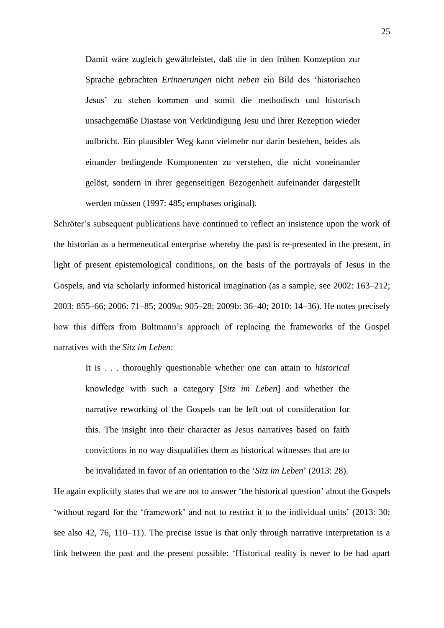Damit wäre zugleich gewährleistet, daß die in den frühen Konzeption zur Sprache gebrachten *Erinnerungen* nicht *neben* ein Bild des 'historischen Jesus' zu stehen kommen und somit die methodisch und historisch unsachgemäße Diastase von Verkündigung Jesu und ihrer Rezeption wieder aufbricht. Ein plausibler Weg kann vielmehr nur darin bestehen, beides als einander bedingende Komponenten zu verstehen, die nicht voneinander gelöst, sondern in ihrer gegenseitigen Bezogenheit aufeinander dargestellt werden müssen (1997: 485; emphases original).

Schröter's subsequent publications have continued to reflect an insistence upon the work of the historian as a hermeneutical enterprise whereby the past is re-presented in the present, in light of present epistemological conditions, on the basis of the portrayals of Jesus in the Gospels, and via scholarly informed historical imagination (as a sample, see 2002: 163–212; 2003: 855–66; 2006: 71–85; 2009a: 905–28; 2009b: 36–40; 2010: 14–36). He notes precisely how this differs from Bultmann's approach of replacing the frameworks of the Gospel narratives with the *Sitz im Leben*:

It is . . . thoroughly questionable whether one can attain to *historical* knowledge with such a category [*Sitz im Leben*] and whether the narrative reworking of the Gospels can be left out of consideration for this. The insight into their character as Jesus narratives based on faith convictions in no way disqualifies them as historical witnesses that are to be invalidated in favor of an orientation to the '*Sitz im Leben*' (2013: 28).

He again explicitly states that we are not to answer 'the historical question' about the Gospels 'without regard for the 'framework' and not to restrict it to the individual units' (2013: 30; see also 42, 76, 110–11). The precise issue is that only through narrative interpretation is a link between the past and the present possible: 'Historical reality is never to be had apart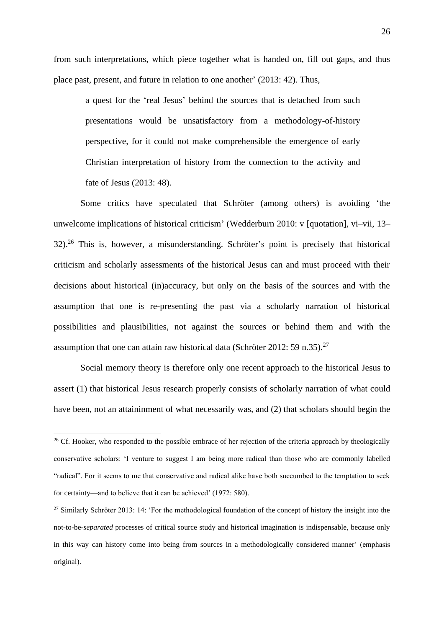from such interpretations, which piece together what is handed on, fill out gaps, and thus place past, present, and future in relation to one another' (2013: 42). Thus,

a quest for the 'real Jesus' behind the sources that is detached from such presentations would be unsatisfactory from a methodology-of-history perspective, for it could not make comprehensible the emergence of early Christian interpretation of history from the connection to the activity and fate of Jesus (2013: 48).

Some critics have speculated that Schröter (among others) is avoiding 'the unwelcome implications of historical criticism' (Wedderburn 2010: v [quotation], vi–vii, 13– 32). <sup>26</sup> This is, however, a misunderstanding. Schröter's point is precisely that historical criticism and scholarly assessments of the historical Jesus can and must proceed with their decisions about historical (in)accuracy, but only on the basis of the sources and with the assumption that one is re-presenting the past via a scholarly narration of historical possibilities and plausibilities, not against the sources or behind them and with the assumption that one can attain raw historical data (Schröter 2012: 59 n.35).<sup>27</sup>

Social memory theory is therefore only one recent approach to the historical Jesus to assert (1) that historical Jesus research properly consists of scholarly narration of what could have been, not an attaininment of what necessarily was, and (2) that scholars should begin the

<sup>&</sup>lt;sup>26</sup> Cf. Hooker, who responded to the possible embrace of her rejection of the criteria approach by theologically conservative scholars: 'I venture to suggest I am being more radical than those who are commonly labelled "radical". For it seems to me that conservative and radical alike have both succumbed to the temptation to seek for certainty—and to believe that it can be achieved' (1972: 580).

<sup>&</sup>lt;sup>27</sup> Similarly Schröter 2013: 14: 'For the methodological foundation of the concept of history the insight into the not-to-be-*separated* processes of critical source study and historical imagination is indispensable, because only in this way can history come into being from sources in a methodologically considered manner' (emphasis original).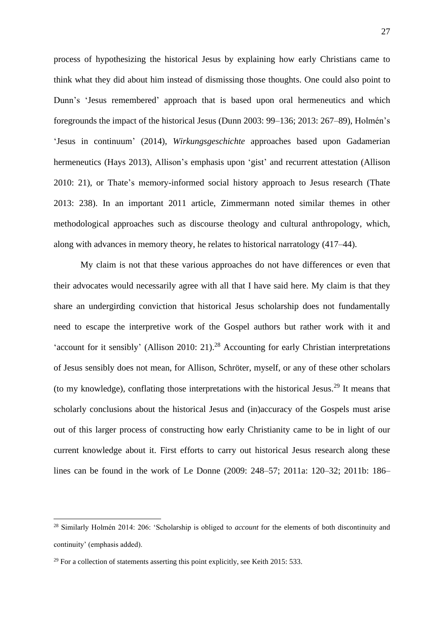process of hypothesizing the historical Jesus by explaining how early Christians came to think what they did about him instead of dismissing those thoughts. One could also point to Dunn's 'Jesus remembered' approach that is based upon oral hermeneutics and which foregrounds the impact of the historical Jesus (Dunn 2003: 99–136; 2013: 267–89), Holmén's 'Jesus in continuum' (2014), *Wirkungsgeschichte* approaches based upon Gadamerian hermeneutics (Hays 2013), Allison's emphasis upon 'gist' and recurrent attestation (Allison 2010: 21), or Thate's memory-informed social history approach to Jesus research (Thate 2013: 238). In an important 2011 article, Zimmermann noted similar themes in other methodological approaches such as discourse theology and cultural anthropology, which, along with advances in memory theory, he relates to historical narratology (417–44).

My claim is not that these various approaches do not have differences or even that their advocates would necessarily agree with all that I have said here. My claim is that they share an undergirding conviction that historical Jesus scholarship does not fundamentally need to escape the interpretive work of the Gospel authors but rather work with it and 'account for it sensibly' (Allison 2010: 21).<sup>28</sup> Accounting for early Christian interpretations of Jesus sensibly does not mean, for Allison, Schröter, myself, or any of these other scholars (to my knowledge), conflating those interpretations with the historical Jesus.<sup>29</sup> It means that scholarly conclusions about the historical Jesus and (in)accuracy of the Gospels must arise out of this larger process of constructing how early Christianity came to be in light of our current knowledge about it. First efforts to carry out historical Jesus research along these lines can be found in the work of Le Donne (2009: 248–57; 2011a: 120–32; 2011b: 186–

<sup>28</sup> Similarly Holmén 2014: 206: 'Scholarship is obliged to *account* for the elements of both discontinuity and continuity' (emphasis added).

 $29$  For a collection of statements asserting this point explicitly, see Keith 2015: 533.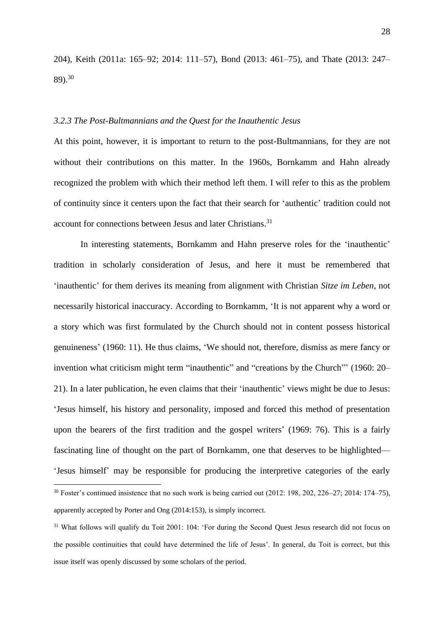204), Keith (2011a: 165–92; 2014: 111–57), Bond (2013: 461–75), and Thate (2013: 247– 89). 30

## *3.2.3 The Post-Bultmannians and the Quest for the Inauthentic Jesus*

At this point, however, it is important to return to the post-Bultmannians, for they are not without their contributions on this matter. In the 1960s, Bornkamm and Hahn already recognized the problem with which their method left them. I will refer to this as the problem of continuity since it centers upon the fact that their search for 'authentic' tradition could not account for connections between Jesus and later Christians.<sup>31</sup>

In interesting statements, Bornkamm and Hahn preserve roles for the 'inauthentic' tradition in scholarly consideration of Jesus, and here it must be remembered that 'inauthentic' for them derives its meaning from alignment with Christian *Sitze im Leben*, not necessarily historical inaccuracy. According to Bornkamm, 'It is not apparent why a word or a story which was first formulated by the Church should not in content possess historical genuineness' (1960: 11). He thus claims, 'We should not, therefore, dismiss as mere fancy or invention what criticism might term "inauthentic" and "creations by the Church"' (1960: 20– 21). In a later publication, he even claims that their 'inauthentic' views might be due to Jesus: 'Jesus himself, his history and personality, imposed and forced this method of presentation upon the bearers of the first tradition and the gospel writers' (1969: 76). This is a fairly fascinating line of thought on the part of Bornkamm, one that deserves to be highlighted— 'Jesus himself' may be responsible for producing the interpretive categories of the early

 $30$  Foster's continued insistence that no such work is being carried out (2012: 198, 202, 226–27; 2014: 174–75), apparently accepted by Porter and Ong (2014:153), is simply incorrect.

<sup>&</sup>lt;sup>31</sup> What follows will qualify du Toit 2001: 104: 'For during the Second Quest Jesus research did not focus on the possible continuities that could have determined the life of Jesus'. In general, du Toit is correct, but this issue itself was openly discussed by some scholars of the period.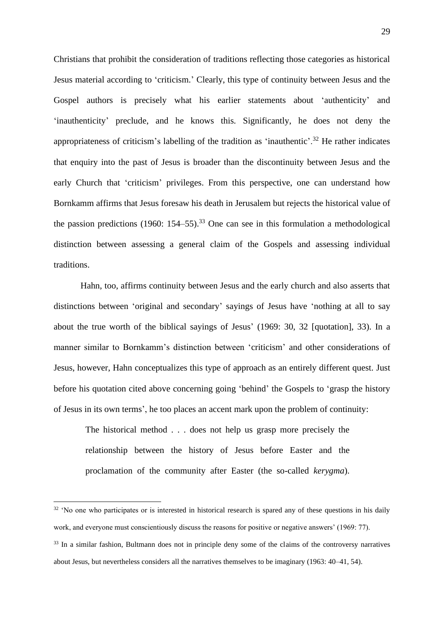Christians that prohibit the consideration of traditions reflecting those categories as historical Jesus material according to 'criticism.' Clearly, this type of continuity between Jesus and the Gospel authors is precisely what his earlier statements about 'authenticity' and 'inauthenticity' preclude, and he knows this. Significantly, he does not deny the appropriateness of criticism's labelling of the tradition as 'inauthentic'.<sup>32</sup> He rather indicates that enquiry into the past of Jesus is broader than the discontinuity between Jesus and the early Church that 'criticism' privileges. From this perspective, one can understand how Bornkamm affirms that Jesus foresaw his death in Jerusalem but rejects the historical value of the passion predictions (1960:  $154-55$ ).<sup>33</sup> One can see in this formulation a methodological distinction between assessing a general claim of the Gospels and assessing individual traditions.

Hahn, too, affirms continuity between Jesus and the early church and also asserts that distinctions between 'original and secondary' sayings of Jesus have 'nothing at all to say about the true worth of the biblical sayings of Jesus' (1969: 30, 32 [quotation], 33). In a manner similar to Bornkamm's distinction between 'criticism' and other considerations of Jesus, however, Hahn conceptualizes this type of approach as an entirely different quest. Just before his quotation cited above concerning going 'behind' the Gospels to 'grasp the history of Jesus in its own terms', he too places an accent mark upon the problem of continuity:

The historical method . . . does not help us grasp more precisely the relationship between the history of Jesus before Easter and the proclamation of the community after Easter (the so-called *kerygma*).

 $32$  'No one who participates or is interested in historical research is spared any of these questions in his daily work, and everyone must conscientiously discuss the reasons for positive or negative answers' (1969: 77). <sup>33</sup> In a similar fashion, Bultmann does not in principle deny some of the claims of the controversy narratives about Jesus, but nevertheless considers all the narratives themselves to be imaginary (1963: 40–41, 54).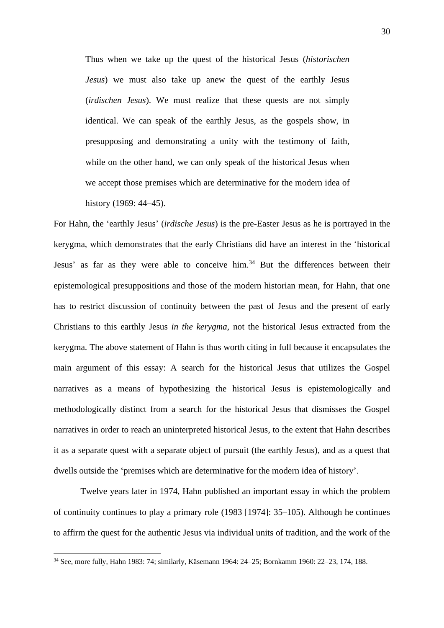Thus when we take up the quest of the historical Jesus (*historischen Jesus*) we must also take up anew the quest of the earthly Jesus (*irdischen Jesus*). We must realize that these quests are not simply identical. We can speak of the earthly Jesus, as the gospels show, in presupposing and demonstrating a unity with the testimony of faith, while on the other hand, we can only speak of the historical Jesus when we accept those premises which are determinative for the modern idea of history (1969: 44–45).

For Hahn, the 'earthly Jesus' (*irdische Jesus*) is the pre-Easter Jesus as he is portrayed in the kerygma, which demonstrates that the early Christians did have an interest in the 'historical Jesus' as far as they were able to conceive him.<sup>34</sup> But the differences between their epistemological presuppositions and those of the modern historian mean, for Hahn, that one has to restrict discussion of continuity between the past of Jesus and the present of early Christians to this earthly Jesus *in the kerygma*, not the historical Jesus extracted from the kerygma. The above statement of Hahn is thus worth citing in full because it encapsulates the main argument of this essay: A search for the historical Jesus that utilizes the Gospel narratives as a means of hypothesizing the historical Jesus is epistemologically and methodologically distinct from a search for the historical Jesus that dismisses the Gospel narratives in order to reach an uninterpreted historical Jesus, to the extent that Hahn describes it as a separate quest with a separate object of pursuit (the earthly Jesus), and as a quest that dwells outside the 'premises which are determinative for the modern idea of history'.

Twelve years later in 1974, Hahn published an important essay in which the problem of continuity continues to play a primary role (1983 [1974]: 35–105). Although he continues to affirm the quest for the authentic Jesus via individual units of tradition, and the work of the

<sup>34</sup> See, more fully, Hahn 1983: 74; similarly, Käsemann 1964: 24–25; Bornkamm 1960: 22–23, 174, 188.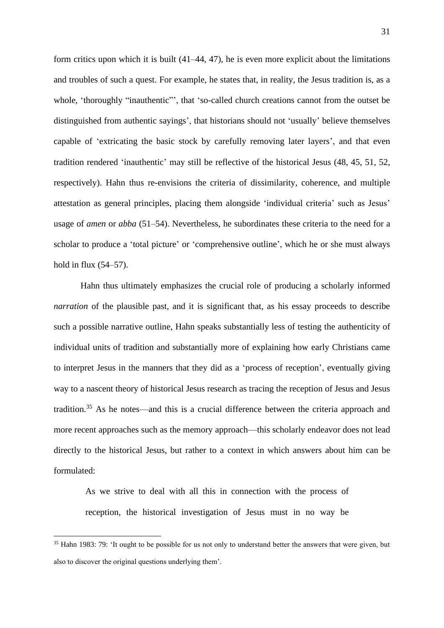form critics upon which it is built (41–44, 47), he is even more explicit about the limitations and troubles of such a quest. For example, he states that, in reality, the Jesus tradition is, as a whole, 'thoroughly "inauthentic"', that 'so-called church creations cannot from the outset be distinguished from authentic sayings', that historians should not 'usually' believe themselves capable of 'extricating the basic stock by carefully removing later layers', and that even tradition rendered 'inauthentic' may still be reflective of the historical Jesus (48, 45, 51, 52, respectively). Hahn thus re-envisions the criteria of dissimilarity, coherence, and multiple attestation as general principles, placing them alongside 'individual criteria' such as Jesus' usage of *amen* or *abba* (51–54). Nevertheless, he subordinates these criteria to the need for a scholar to produce a 'total picture' or 'comprehensive outline', which he or she must always hold in flux (54–57).

Hahn thus ultimately emphasizes the crucial role of producing a scholarly informed *narration* of the plausible past, and it is significant that, as his essay proceeds to describe such a possible narrative outline, Hahn speaks substantially less of testing the authenticity of individual units of tradition and substantially more of explaining how early Christians came to interpret Jesus in the manners that they did as a 'process of reception', eventually giving way to a nascent theory of historical Jesus research as tracing the reception of Jesus and Jesus tradition.<sup>35</sup> As he notes—and this is a crucial difference between the criteria approach and more recent approaches such as the memory approach—this scholarly endeavor does not lead directly to the historical Jesus, but rather to a context in which answers about him can be formulated:

As we strive to deal with all this in connection with the process of reception, the historical investigation of Jesus must in no way be

<sup>&</sup>lt;sup>35</sup> Hahn 1983: 79: 'It ought to be possible for us not only to understand better the answers that were given, but also to discover the original questions underlying them'.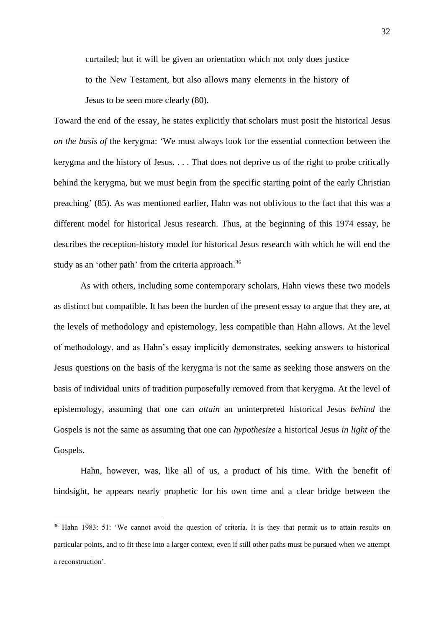curtailed; but it will be given an orientation which not only does justice to the New Testament, but also allows many elements in the history of Jesus to be seen more clearly (80).

Toward the end of the essay, he states explicitly that scholars must posit the historical Jesus *on the basis of* the kerygma: 'We must always look for the essential connection between the kerygma and the history of Jesus. . . . That does not deprive us of the right to probe critically behind the kerygma, but we must begin from the specific starting point of the early Christian preaching' (85). As was mentioned earlier, Hahn was not oblivious to the fact that this was a different model for historical Jesus research. Thus, at the beginning of this 1974 essay, he describes the reception-history model for historical Jesus research with which he will end the study as an 'other path' from the criteria approach.<sup>36</sup>

As with others, including some contemporary scholars, Hahn views these two models as distinct but compatible. It has been the burden of the present essay to argue that they are, at the levels of methodology and epistemology, less compatible than Hahn allows. At the level of methodology, and as Hahn's essay implicitly demonstrates, seeking answers to historical Jesus questions on the basis of the kerygma is not the same as seeking those answers on the basis of individual units of tradition purposefully removed from that kerygma. At the level of epistemology, assuming that one can *attain* an uninterpreted historical Jesus *behind* the Gospels is not the same as assuming that one can *hypothesize* a historical Jesus *in light of* the Gospels.

Hahn, however, was, like all of us, a product of his time. With the benefit of hindsight, he appears nearly prophetic for his own time and a clear bridge between the

<sup>36</sup> Hahn 1983: 51: 'We cannot avoid the question of criteria. It is they that permit us to attain results on particular points, and to fit these into a larger context, even if still other paths must be pursued when we attempt a reconstruction'.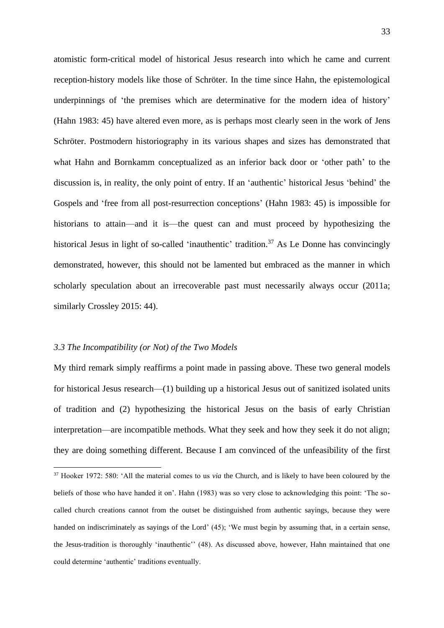atomistic form-critical model of historical Jesus research into which he came and current reception-history models like those of Schröter. In the time since Hahn, the epistemological underpinnings of 'the premises which are determinative for the modern idea of history' (Hahn 1983: 45) have altered even more, as is perhaps most clearly seen in the work of Jens Schröter. Postmodern historiography in its various shapes and sizes has demonstrated that what Hahn and Bornkamm conceptualized as an inferior back door or 'other path' to the discussion is, in reality, the only point of entry. If an 'authentic' historical Jesus 'behind' the Gospels and 'free from all post-resurrection conceptions' (Hahn 1983: 45) is impossible for historians to attain—and it is—the quest can and must proceed by hypothesizing the historical Jesus in light of so-called 'inauthentic' tradition.<sup>37</sup> As Le Donne has convincingly demonstrated, however, this should not be lamented but embraced as the manner in which scholarly speculation about an irrecoverable past must necessarily always occur (2011a; similarly Crossley 2015: 44).

## *3.3 The Incompatibility (or Not) of the Two Models*

My third remark simply reaffirms a point made in passing above. These two general models for historical Jesus research—(1) building up a historical Jesus out of sanitized isolated units of tradition and (2) hypothesizing the historical Jesus on the basis of early Christian interpretation—are incompatible methods. What they seek and how they seek it do not align; they are doing something different. Because I am convinced of the unfeasibility of the first

<sup>37</sup> Hooker 1972: 580: 'All the material comes to us *via* the Church, and is likely to have been coloured by the beliefs of those who have handed it on'. Hahn (1983) was so very close to acknowledging this point: 'The socalled church creations cannot from the outset be distinguished from authentic sayings, because they were handed on indiscriminately as sayings of the Lord' (45); 'We must begin by assuming that, in a certain sense, the Jesus-tradition is thoroughly 'inauthentic'' (48). As discussed above, however, Hahn maintained that one could determine 'authentic' traditions eventually.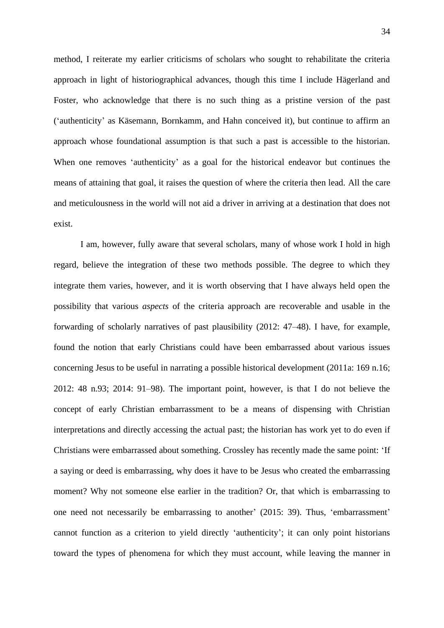method, I reiterate my earlier criticisms of scholars who sought to rehabilitate the criteria approach in light of historiographical advances, though this time I include Hägerland and Foster, who acknowledge that there is no such thing as a pristine version of the past ('authenticity' as Käsemann, Bornkamm, and Hahn conceived it), but continue to affirm an approach whose foundational assumption is that such a past is accessible to the historian. When one removes 'authenticity' as a goal for the historical endeavor but continues the means of attaining that goal, it raises the question of where the criteria then lead. All the care and meticulousness in the world will not aid a driver in arriving at a destination that does not exist.

I am, however, fully aware that several scholars, many of whose work I hold in high regard, believe the integration of these two methods possible. The degree to which they integrate them varies, however, and it is worth observing that I have always held open the possibility that various *aspects* of the criteria approach are recoverable and usable in the forwarding of scholarly narratives of past plausibility (2012: 47–48). I have, for example, found the notion that early Christians could have been embarrassed about various issues concerning Jesus to be useful in narrating a possible historical development (2011a: 169 n.16; 2012: 48 n.93; 2014: 91–98). The important point, however, is that I do not believe the concept of early Christian embarrassment to be a means of dispensing with Christian interpretations and directly accessing the actual past; the historian has work yet to do even if Christians were embarrassed about something. Crossley has recently made the same point: 'If a saying or deed is embarrassing, why does it have to be Jesus who created the embarrassing moment? Why not someone else earlier in the tradition? Or, that which is embarrassing to one need not necessarily be embarrassing to another' (2015: 39). Thus, 'embarrassment' cannot function as a criterion to yield directly 'authenticity'; it can only point historians toward the types of phenomena for which they must account, while leaving the manner in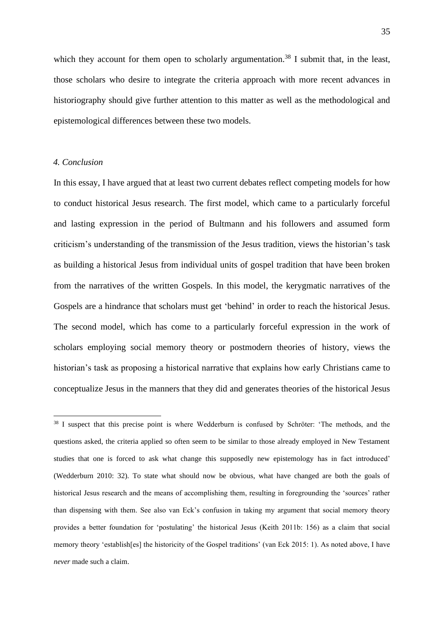which they account for them open to scholarly argumentation.<sup>38</sup> I submit that, in the least, those scholars who desire to integrate the criteria approach with more recent advances in historiography should give further attention to this matter as well as the methodological and epistemological differences between these two models.

# *4. Conclusion*

In this essay, I have argued that at least two current debates reflect competing models for how to conduct historical Jesus research. The first model, which came to a particularly forceful and lasting expression in the period of Bultmann and his followers and assumed form criticism's understanding of the transmission of the Jesus tradition, views the historian's task as building a historical Jesus from individual units of gospel tradition that have been broken from the narratives of the written Gospels. In this model, the kerygmatic narratives of the Gospels are a hindrance that scholars must get 'behind' in order to reach the historical Jesus. The second model, which has come to a particularly forceful expression in the work of scholars employing social memory theory or postmodern theories of history, views the historian's task as proposing a historical narrative that explains how early Christians came to conceptualize Jesus in the manners that they did and generates theories of the historical Jesus

<sup>38</sup> I suspect that this precise point is where Wedderburn is confused by Schröter: 'The methods, and the questions asked, the criteria applied so often seem to be similar to those already employed in New Testament studies that one is forced to ask what change this supposedly new epistemology has in fact introduced' (Wedderburn 2010: 32). To state what should now be obvious, what have changed are both the goals of historical Jesus research and the means of accomplishing them, resulting in foregrounding the 'sources' rather than dispensing with them. See also van Eck's confusion in taking my argument that social memory theory provides a better foundation for 'postulating' the historical Jesus (Keith 2011b: 156) as a claim that social memory theory 'establish[es] the historicity of the Gospel traditions' (van Eck 2015: 1). As noted above, I have *never* made such a claim.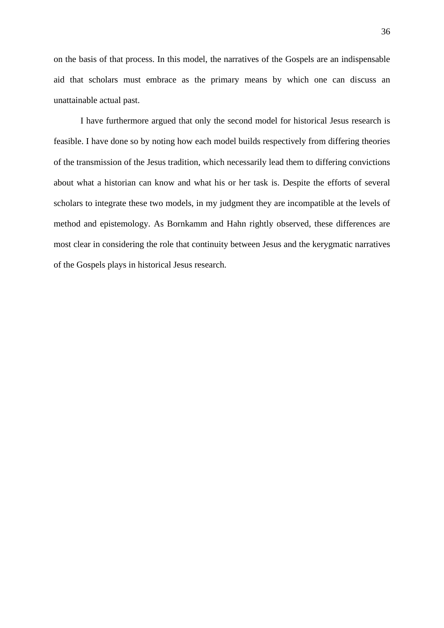on the basis of that process. In this model, the narratives of the Gospels are an indispensable aid that scholars must embrace as the primary means by which one can discuss an unattainable actual past.

I have furthermore argued that only the second model for historical Jesus research is feasible. I have done so by noting how each model builds respectively from differing theories of the transmission of the Jesus tradition, which necessarily lead them to differing convictions about what a historian can know and what his or her task is. Despite the efforts of several scholars to integrate these two models, in my judgment they are incompatible at the levels of method and epistemology. As Bornkamm and Hahn rightly observed, these differences are most clear in considering the role that continuity between Jesus and the kerygmatic narratives of the Gospels plays in historical Jesus research.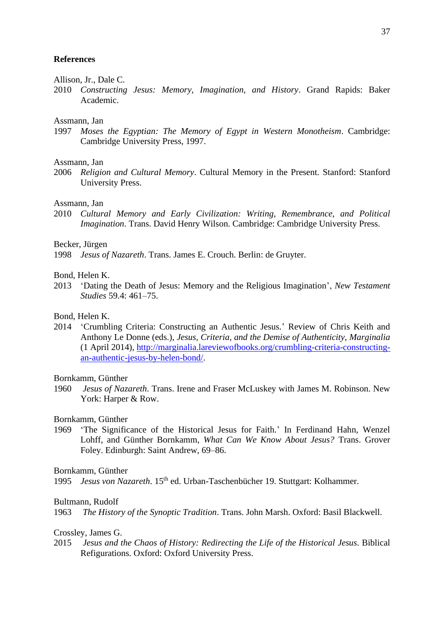## **References**

### Allison, Jr., Dale C.

2010 *Constructing Jesus: Memory, Imagination, and History*. Grand Rapids: Baker Academic.

# Assmann, Jan

1997 *Moses the Egyptian: The Memory of Egypt in Western Monotheism*. Cambridge: Cambridge University Press, 1997.

## Assmann, Jan

2006 *Religion and Cultural Memory*. Cultural Memory in the Present. Stanford: Stanford University Press.

## Assmann, Jan

2010 *Cultural Memory and Early Civilization: Writing, Remembrance, and Political Imagination*. Trans. David Henry Wilson. Cambridge: Cambridge University Press.

### Becker, Jürgen

1998 *Jesus of Nazareth*. Trans. James E. Crouch. Berlin: de Gruyter.

## Bond, Helen K.

2013 'Dating the Death of Jesus: Memory and the Religious Imagination', *New Testament Studies* 59.4: 461–75.

# Bond, Helen K.

2014 'Crumbling Criteria: Constructing an Authentic Jesus.' Review of Chris Keith and Anthony Le Donne (eds.), *Jesus, Criteria, and the Demise of Authenticity, Marginalia* (1 April 2014), [http://marginalia.lareviewofbooks.org/crumbling-criteria-constructing](http://marginalia.lareviewofbooks.org/crumbling-criteria-constructing-an-authentic-jesus-by-helen-bond/)[an-authentic-jesus-by-helen-bond/.](http://marginalia.lareviewofbooks.org/crumbling-criteria-constructing-an-authentic-jesus-by-helen-bond/)

### Bornkamm, Günther

1960 *Jesus of Nazareth*. Trans. Irene and Fraser McLuskey with James M. Robinson. New York: Harper & Row.

### Bornkamm, Günther

1969 'The Significance of the Historical Jesus for Faith.' In Ferdinand Hahn, Wenzel Lohff, and Günther Bornkamm, *What Can We Know About Jesus?* Trans. Grover Foley. Edinburgh: Saint Andrew, 69–86.

### Bornkamm, Günther

1995 *Jesus von Nazareth*. 15th ed. Urban-Taschenbücher 19. Stuttgart: Kolhammer.

Bultmann, Rudolf

1963 *The History of the Synoptic Tradition*. Trans. John Marsh. Oxford: Basil Blackwell.

### Crossley, James G.

2015 *Jesus and the Chaos of History: Redirecting the Life of the Historical Jesus*. Biblical Refigurations. Oxford: Oxford University Press.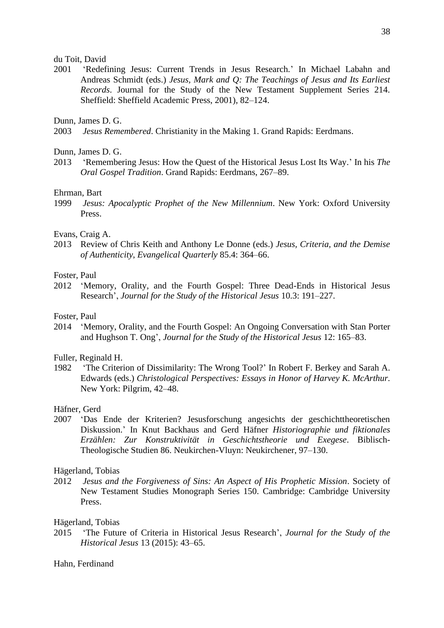du Toit, David

2001 'Redefining Jesus: Current Trends in Jesus Research.' In Michael Labahn and Andreas Schmidt (eds.) *Jesus, Mark and Q: The Teachings of Jesus and Its Earliest Records*. Journal for the Study of the New Testament Supplement Series 214. Sheffield: Sheffield Academic Press, 2001), 82–124.

Dunn, James D. G.

2003 *Jesus Remembered*. Christianity in the Making 1. Grand Rapids: Eerdmans.

Dunn, James D. G.

2013 'Remembering Jesus: How the Quest of the Historical Jesus Lost Its Way.' In his *The Oral Gospel Tradition*. Grand Rapids: Eerdmans, 267–89.

### Ehrman, Bart

1999 *Jesus: Apocalyptic Prophet of the New Millennium*. New York: Oxford University Press.

### Evans, Craig A.

2013 Review of Chris Keith and Anthony Le Donne (eds.) *Jesus, Criteria, and the Demise of Authenticity*, *Evangelical Quarterly* 85.4: 364–66.

# Foster, Paul

2012 'Memory, Orality, and the Fourth Gospel: Three Dead-Ends in Historical Jesus Research', *Journal for the Study of the Historical Jesus* 10.3: 191–227.

# Foster, Paul

2014 'Memory, Orality, and the Fourth Gospel: An Ongoing Conversation with Stan Porter and Hughson T. Ong', *Journal for the Study of the Historical Jesus* 12: 165–83.

Fuller, Reginald H.

1982 'The Criterion of Dissimilarity: The Wrong Tool?' In Robert F. Berkey and Sarah A. Edwards (eds.) *Christological Perspectives: Essays in Honor of Harvey K. McArthur.*  New York: Pilgrim, 42–48.

### Häfner, Gerd

2007 'Das Ende der Kriterien? Jesusforschung angesichts der geschichttheoretischen Diskussion.' In Knut Backhaus and Gerd Häfner *Historiographie und fiktionales Erzählen: Zur Konstruktivität in Geschichtstheorie und Exegese*. Biblisch-Theologische Studien 86. Neukirchen-Vluyn: Neukirchener, 97–130.

#### Hägerland, Tobias

2012 *Jesus and the Forgiveness of Sins: An Aspect of His Prophetic Mission*. Society of New Testament Studies Monograph Series 150. Cambridge: Cambridge University Press.

## Hägerland, Tobias

2015 'The Future of Criteria in Historical Jesus Research', *Journal for the Study of the Historical Jesus* 13 (2015): 43–65.

Hahn, Ferdinand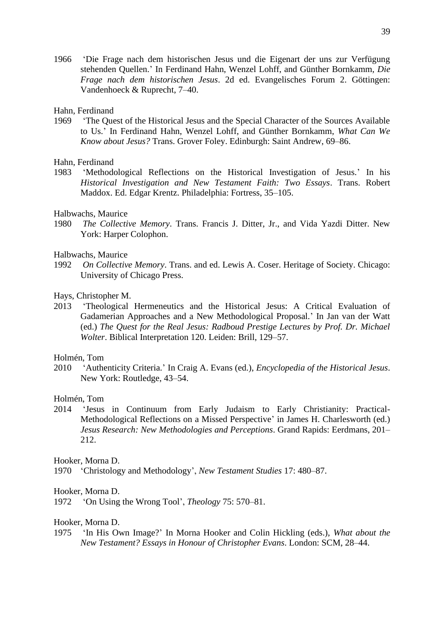1966 'Die Frage nach dem historischen Jesus und die Eigenart der uns zur Verfügung stehenden Quellen.' In Ferdinand Hahn, Wenzel Lohff, and Günther Bornkamm, *Die Frage nach dem historischen Jesus*. 2d ed. Evangelisches Forum 2. Göttingen: Vandenhoeck & Ruprecht, 7–40.

### Hahn, Ferdinand

1969 'The Quest of the Historical Jesus and the Special Character of the Sources Available to Us.' In Ferdinand Hahn, Wenzel Lohff, and Günther Bornkamm, *What Can We Know about Jesus?* Trans. Grover Foley. Edinburgh: Saint Andrew, 69–86.

## Hahn, Ferdinand

1983 'Methodological Reflections on the Historical Investigation of Jesus.' In his *Historical Investigation and New Testament Faith: Two Essays*. Trans. Robert Maddox. Ed. Edgar Krentz. Philadelphia: Fortress, 35–105.

# Halbwachs, Maurice

1980 *The Collective Memory*. Trans. Francis J. Ditter, Jr., and Vida Yazdi Ditter. New York: Harper Colophon.

## Halbwachs, Maurice

1992 *On Collective Memory*. Trans. and ed. Lewis A. Coser. Heritage of Society. Chicago: University of Chicago Press.

## Hays, Christopher M.

2013 'Theological Hermeneutics and the Historical Jesus: A Critical Evaluation of Gadamerian Approaches and a New Methodological Proposal.' In Jan van der Watt (ed.) *The Quest for the Real Jesus: Radboud Prestige Lectures by Prof. Dr. Michael Wolter*. Biblical Interpretation 120. Leiden: Brill, 129–57.

# Holmén, Tom

2010 'Authenticity Criteria.' In Craig A. Evans (ed.), *Encyclopedia of the Historical Jesus*. New York: Routledge, 43–54.

# Holmén, Tom

2014 'Jesus in Continuum from Early Judaism to Early Christianity: Practical-Methodological Reflections on a Missed Perspective' in James H. Charlesworth (ed.) *Jesus Research: New Methodologies and Perceptions*. Grand Rapids: Eerdmans, 201– 212.

Hooker, Morna D.

1970 'Christology and Methodology', *New Testament Studies* 17: 480–87.

Hooker, Morna D.

1972 'On Using the Wrong Tool', *Theology* 75: 570–81.

## Hooker, Morna D.

1975 'In His Own Image?' In Morna Hooker and Colin Hickling (eds.), *What about the New Testament? Essays in Honour of Christopher Evans*. London: SCM, 28–44.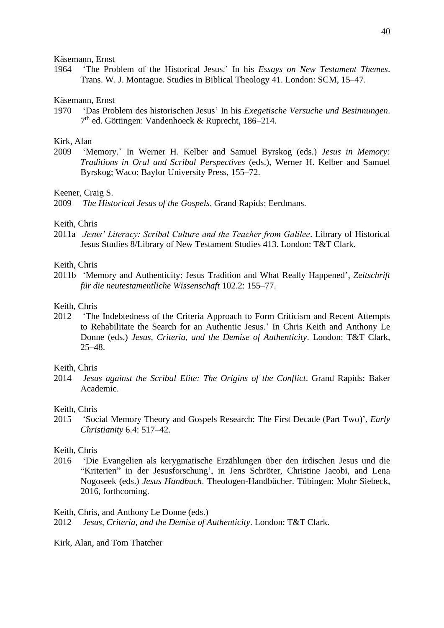# Käsemann, Ernst

1964 'The Problem of the Historical Jesus.' In his *Essays on New Testament Themes*. Trans. W. J. Montague. Studies in Biblical Theology 41. London: SCM, 15–47.

### Käsemann, Ernst

1970 'Das Problem des historischen Jesus' In his *Exegetische Versuche und Besinnungen*. 7<sup>th</sup> ed. Göttingen: Vandenhoeck & Ruprecht, 186-214.

## Kirk, Alan

2009 'Memory.' In Werner H. Kelber and Samuel Byrskog (eds.) *Jesus in Memory: Traditions in Oral and Scribal Perspectives* (eds.), Werner H. Kelber and Samuel Byrskog; Waco: Baylor University Press, 155–72.

## Keener, Craig S.

2009 *The Historical Jesus of the Gospels*. Grand Rapids: Eerdmans.

## Keith, Chris

2011a *Jesus' Literacy: Scribal Culture and the Teacher from Galilee*. Library of Historical Jesus Studies 8/Library of New Testament Studies 413. London: T&T Clark.

# Keith, Chris

2011b 'Memory and Authenticity: Jesus Tradition and What Really Happened', *Zeitschrift für die neutestamentliche Wissenschaft* 102.2: 155–77.

# Keith, Chris

2012 'The Indebtedness of the Criteria Approach to Form Criticism and Recent Attempts to Rehabilitate the Search for an Authentic Jesus.' In Chris Keith and Anthony Le Donne (eds.) *Jesus, Criteria, and the Demise of Authenticity*. London: T&T Clark, 25–48.

#### Keith, Chris

2014 *Jesus against the Scribal Elite: The Origins of the Conflict*. Grand Rapids: Baker Academic.

#### Keith, Chris

2015 'Social Memory Theory and Gospels Research: The First Decade (Part Two)', *Early Christianity* 6.4: 517–42.

#### Keith, Chris

2016 'Die Evangelien als kerygmatische Erzählungen über den irdischen Jesus und die "Kriterien" in der Jesusforschung', in Jens Schröter, Christine Jacobi, and Lena Nogoseek (eds.) *Jesus Handbuch*. Theologen-Handbücher. Tübingen: Mohr Siebeck, 2016, forthcoming.

Keith, Chris, and Anthony Le Donne (eds.)

2012 *Jesus, Criteria, and the Demise of Authenticity*. London: T&T Clark.

Kirk, Alan, and Tom Thatcher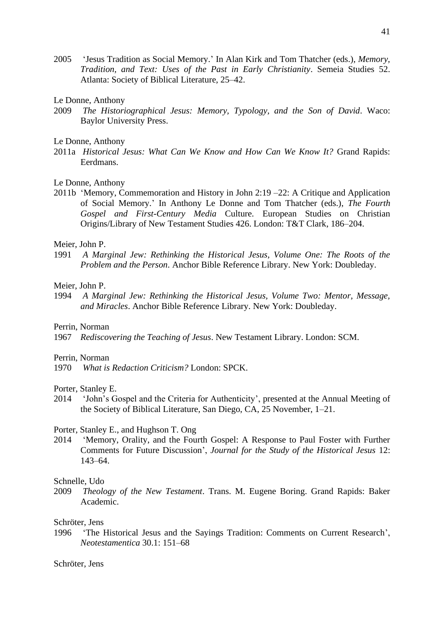2005 'Jesus Tradition as Social Memory.' In Alan Kirk and Tom Thatcher (eds.), *Memory, Tradition, and Text: Uses of the Past in Early Christianity*. Semeia Studies 52. Atlanta: Society of Biblical Literature, 25–42.

### Le Donne, Anthony

2009 *The Historiographical Jesus: Memory, Typology, and the Son of David*. Waco: Baylor University Press.

### Le Donne, Anthony

2011a *Historical Jesus: What Can We Know and How Can We Know It?* Grand Rapids: Eerdmans.

## Le Donne, Anthony

2011b 'Memory, Commemoration and History in John 2:19 –22: A Critique and Application of Social Memory.' In Anthony Le Donne and Tom Thatcher (eds.), *The Fourth Gospel and First-Century Media* Culture. European Studies on Christian Origins/Library of New Testament Studies 426. London: T&T Clark, 186–204.

### Meier, John P.

1991 *A Marginal Jew: Rethinking the Historical Jesus, Volume One: The Roots of the Problem and the Person*. Anchor Bible Reference Library. New York: Doubleday.

# Meier, John P.

1994 *A Marginal Jew: Rethinking the Historical Jesus, Volume Two: Mentor, Message, and Miracles*. Anchor Bible Reference Library. New York: Doubleday.

## Perrin, Norman

1967 *Rediscovering the Teaching of Jesus*. New Testament Library. London: SCM.

# Perrin, Norman

1970 *What is Redaction Criticism?* London: SPCK.

# Porter, Stanley E.

2014 'John's Gospel and the Criteria for Authenticity', presented at the Annual Meeting of the Society of Biblical Literature, San Diego, CA, 25 November, 1–21.

# Porter, Stanley E., and Hughson T. Ong

2014 'Memory, Orality, and the Fourth Gospel: A Response to Paul Foster with Further Comments for Future Discussion', *Journal for the Study of the Historical Jesus* 12: 143–64.

### Schnelle, Udo

2009 *Theology of the New Testament*. Trans. M. Eugene Boring. Grand Rapids: Baker Academic.

## Schröter, Jens

1996 'The Historical Jesus and the Sayings Tradition: Comments on Current Research', *Neotestamentica* 30.1: 151–68

Schröter, Jens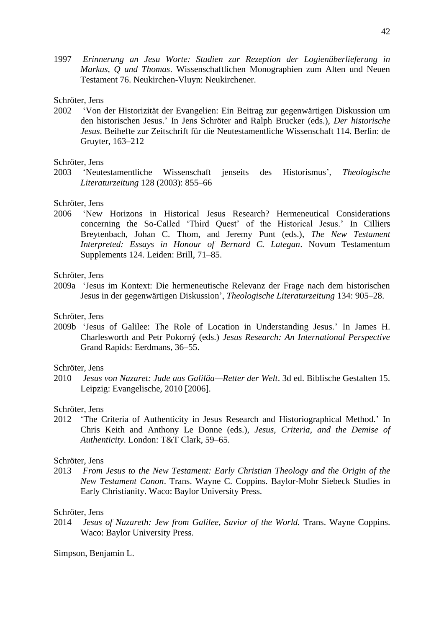### Schröter, Jens

2002 'Von der Historizität der Evangelien: Ein Beitrag zur gegenwärtigen Diskussion um den historischen Jesus.' In Jens Schröter and Ralph Brucker (eds.), *Der historische Jesus*. Beihefte zur Zeitschrift für die Neutestamentliche Wissenschaft 114. Berlin: de Gruyter, 163–212

# Schröter, Jens

2003 'Neutestamentliche Wissenschaft jenseits des Historismus', *Theologische Literaturzeitung* 128 (2003): 855–66

### Schröter, Jens

2006 'New Horizons in Historical Jesus Research? Hermeneutical Considerations concerning the So-Called 'Third Quest' of the Historical Jesus.' In Cilliers Breytenbach, Johan C. Thom, and Jeremy Punt (eds.), *The New Testament Interpreted: Essays in Honour of Bernard C. Lategan*. Novum Testamentum Supplements 124. Leiden: Brill, 71–85.

# Schröter, Jens

2009a 'Jesus im Kontext: Die hermeneutische Relevanz der Frage nach dem historischen Jesus in der gegenwärtigen Diskussion', *Theologische Literaturzeitung* 134: 905–28.

# Schröter, Jens

2009b 'Jesus of Galilee: The Role of Location in Understanding Jesus.' In James H. Charlesworth and Petr Pokorný (eds.) *Jesus Research: An International Perspective*  Grand Rapids: Eerdmans, 36–55.

### Schröter, Jens

2010 *Jesus von Nazaret: Jude aus Galiläa—Retter der Welt*. 3d ed. Biblische Gestalten 15. Leipzig: Evangelische, 2010 [2006].

### Schröter, Jens

2012 'The Criteria of Authenticity in Jesus Research and Historiographical Method.' In Chris Keith and Anthony Le Donne (eds.), *Jesus, Criteria, and the Demise of Authenticity*. London: T&T Clark, 59–65.

# Schröter, Jens

2013 *From Jesus to the New Testament: Early Christian Theology and the Origin of the New Testament Canon*. Trans. Wayne C. Coppins. Baylor-Mohr Siebeck Studies in Early Christianity. Waco: Baylor University Press.

### Schröter, Jens

2014 *Jesus of Nazareth: Jew from Galilee, Savior of the World.* Trans. Wayne Coppins. Waco: Baylor University Press.

Simpson, Benjamin L.